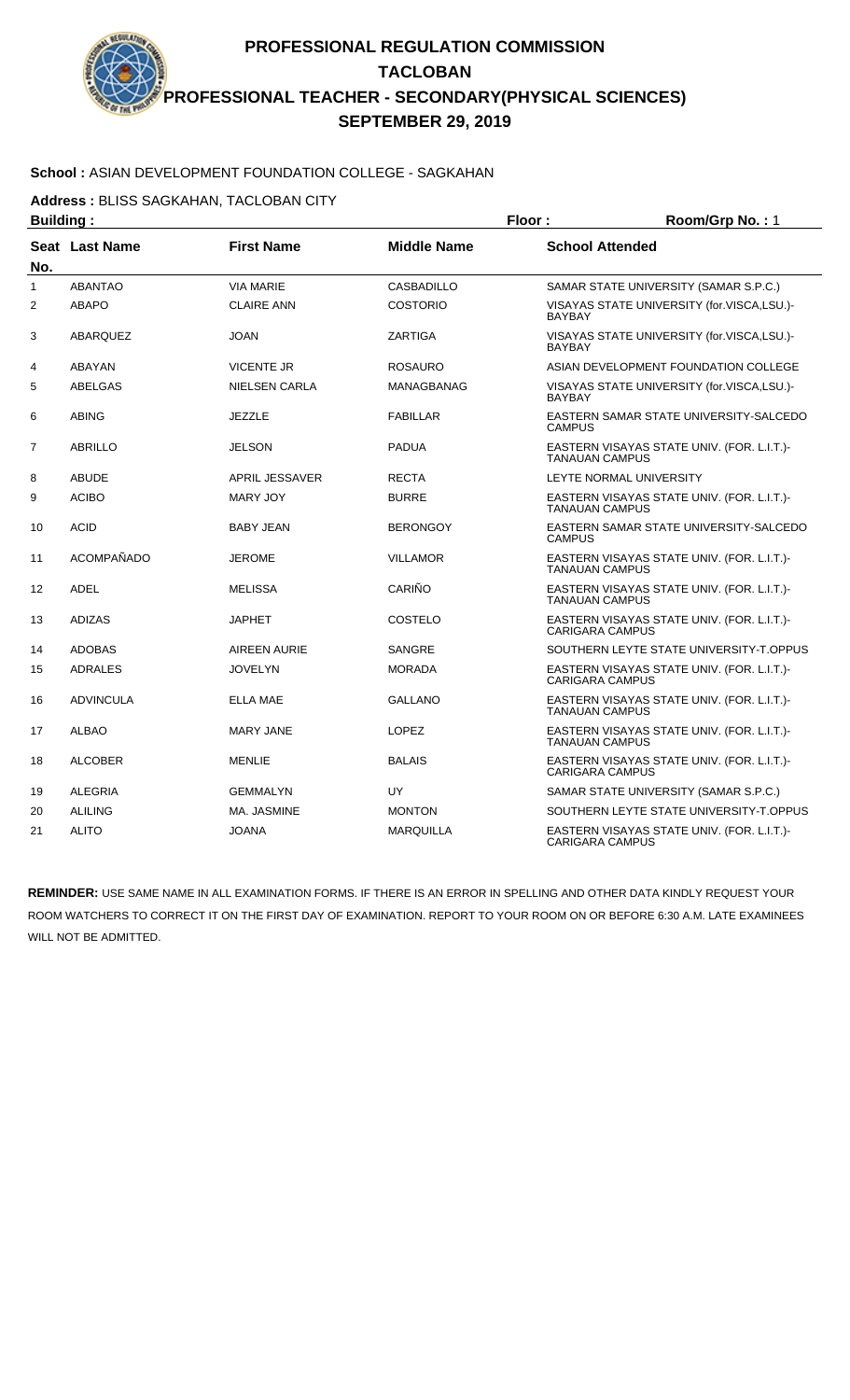# **School :** ASIAN DEVELOPMENT FOUNDATION COLLEGE - SAGKAHAN

**Address :** BLISS SAGKAHAN, TACLOBAN CITY

| <b>Building:</b> |                  |                      |                    | Floor:                 | Room/Grp No.: 1                            |
|------------------|------------------|----------------------|--------------------|------------------------|--------------------------------------------|
| No.              | Seat Last Name   | <b>First Name</b>    | <b>Middle Name</b> | <b>School Attended</b> |                                            |
| $\mathbf{1}$     | <b>ABANTAO</b>   | <b>VIA MARIE</b>     | <b>CASBADILLO</b>  |                        | SAMAR STATE UNIVERSITY (SAMAR S.P.C.)      |
| $\overline{2}$   | <b>ABAPO</b>     | <b>CLAIRE ANN</b>    | <b>COSTORIO</b>    | <b>BAYBAY</b>          | VISAYAS STATE UNIVERSITY (for.VISCA,LSU.)- |
| 3                | <b>ABARQUEZ</b>  | <b>JOAN</b>          | <b>ZARTIGA</b>     | <b>BAYBAY</b>          | VISAYAS STATE UNIVERSITY (for.VISCA,LSU.)- |
| 4                | <b>ABAYAN</b>    | <b>VICENTE JR</b>    | <b>ROSAURO</b>     |                        | ASIAN DEVELOPMENT FOUNDATION COLLEGE       |
| 5                | ABELGAS          | <b>NIELSEN CARLA</b> | <b>MANAGBANAG</b>  | <b>BAYBAY</b>          | VISAYAS STATE UNIVERSITY (for.VISCA,LSU.)- |
| 6                | <b>ABING</b>     | <b>JEZZLE</b>        | <b>FABILLAR</b>    | <b>CAMPUS</b>          | EASTERN SAMAR STATE UNIVERSITY-SALCEDO     |
| $\overline{7}$   | <b>ABRILLO</b>   | <b>JELSON</b>        | <b>PADUA</b>       | <b>TANAUAN CAMPUS</b>  | EASTERN VISAYAS STATE UNIV. (FOR. L.I.T.)- |
| 8                | <b>ABUDE</b>     | APRIL JESSAVER       | <b>RECTA</b>       |                        | LEYTE NORMAL UNIVERSITY                    |
| 9                | <b>ACIBO</b>     | <b>MARY JOY</b>      | <b>BURRE</b>       | <b>TANAUAN CAMPUS</b>  | EASTERN VISAYAS STATE UNIV. (FOR. L.I.T.)- |
| 10               | <b>ACID</b>      | <b>BABY JEAN</b>     | <b>BERONGOY</b>    | <b>CAMPUS</b>          | EASTERN SAMAR STATE UNIVERSITY-SALCEDO     |
| 11               | ACOMPAÑADO       | <b>JEROME</b>        | <b>VILLAMOR</b>    | <b>TANAUAN CAMPUS</b>  | EASTERN VISAYAS STATE UNIV. (FOR. L.I.T.)- |
| 12               | <b>ADEL</b>      | <b>MELISSA</b>       | CARIÑO             | <b>TANAUAN CAMPUS</b>  | EASTERN VISAYAS STATE UNIV. (FOR. L.I.T.)- |
| 13               | <b>ADIZAS</b>    | <b>JAPHET</b>        | COSTELO            | <b>CARIGARA CAMPUS</b> | EASTERN VISAYAS STATE UNIV. (FOR. L.I.T.)- |
| 14               | <b>ADOBAS</b>    | <b>AIREEN AURIE</b>  | <b>SANGRE</b>      |                        | SOUTHERN LEYTE STATE UNIVERSITY-T.OPPUS    |
| 15               | <b>ADRALES</b>   | <b>JOVELYN</b>       | <b>MORADA</b>      | <b>CARIGARA CAMPUS</b> | EASTERN VISAYAS STATE UNIV. (FOR. L.I.T.)- |
| 16               | <b>ADVINCULA</b> | <b>ELLA MAE</b>      | <b>GALLANO</b>     | <b>TANAUAN CAMPUS</b>  | EASTERN VISAYAS STATE UNIV. (FOR. L.I.T.)- |
| 17               | <b>ALBAO</b>     | <b>MARY JANE</b>     | <b>LOPEZ</b>       | <b>TANAUAN CAMPUS</b>  | EASTERN VISAYAS STATE UNIV. (FOR. L.I.T.)- |
| 18               | <b>ALCOBER</b>   | <b>MENLIE</b>        | <b>BALAIS</b>      | <b>CARIGARA CAMPUS</b> | EASTERN VISAYAS STATE UNIV. (FOR. L.I.T.)- |
| 19               | <b>ALEGRIA</b>   | <b>GEMMALYN</b>      | UY                 |                        | SAMAR STATE UNIVERSITY (SAMAR S.P.C.)      |
| 20               | <b>ALILING</b>   | MA. JASMINE          | <b>MONTON</b>      |                        | SOUTHERN LEYTE STATE UNIVERSITY-T.OPPUS    |
| 21               | <b>ALITO</b>     | <b>JOANA</b>         | <b>MARQUILLA</b>   | <b>CARIGARA CAMPUS</b> | EASTERN VISAYAS STATE UNIV. (FOR. L.I.T.)- |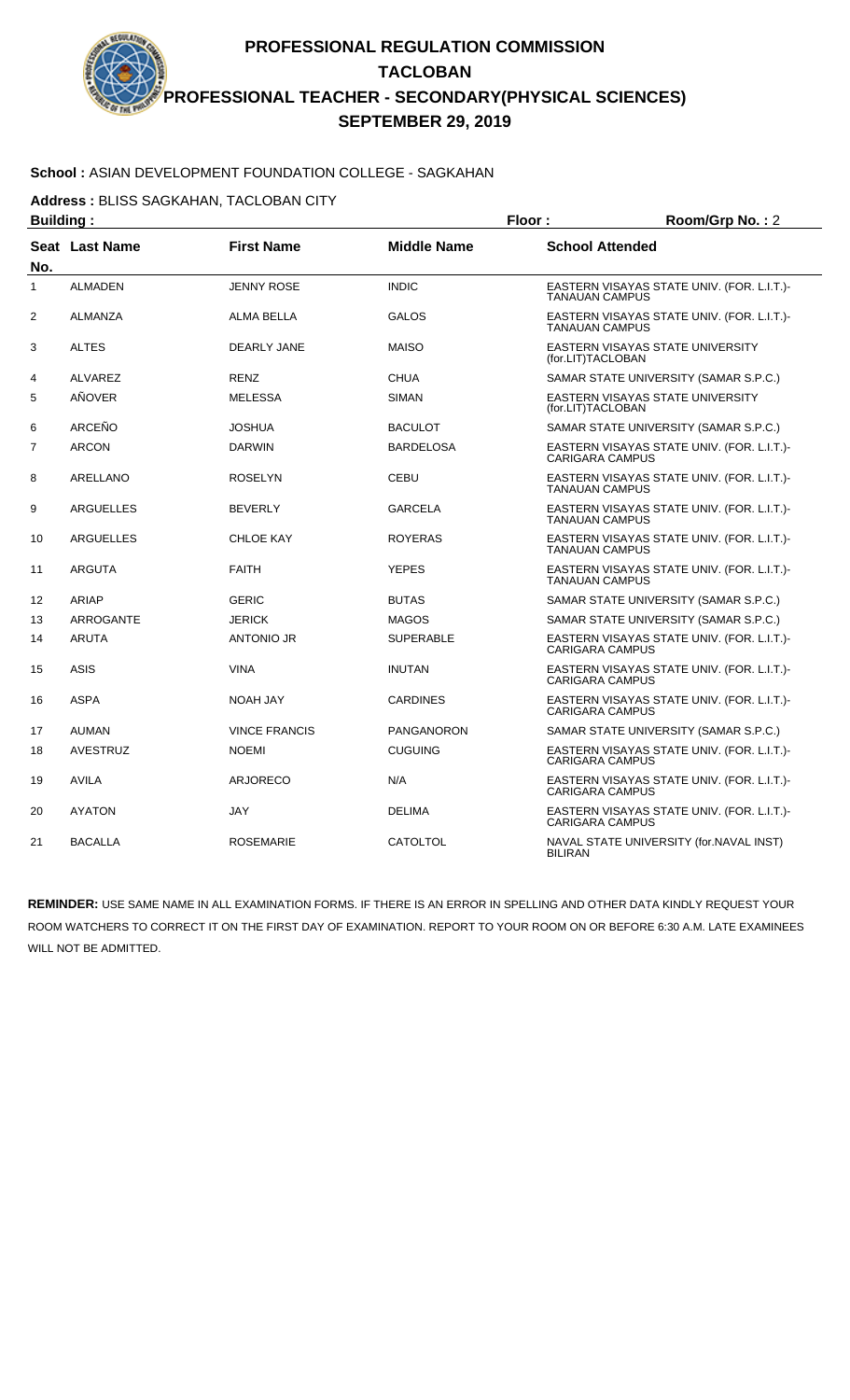#### **School :** ASIAN DEVELOPMENT FOUNDATION COLLEGE - SAGKAHAN

**Address :** BLISS SAGKAHAN, TACLOBAN CITY

|                | <b>Building:</b> |                      |                    | Floor:                 | Room/Grp No.: 2                            |
|----------------|------------------|----------------------|--------------------|------------------------|--------------------------------------------|
| No.            | Seat Last Name   | <b>First Name</b>    | <b>Middle Name</b> | <b>School Attended</b> |                                            |
| $\mathbf{1}$   | <b>ALMADEN</b>   | <b>JENNY ROSE</b>    | <b>INDIC</b>       | <b>TANAUAN CAMPUS</b>  | EASTERN VISAYAS STATE UNIV. (FOR. L.I.T.)- |
| $\overline{2}$ | ALMANZA          | <b>ALMA BELLA</b>    | <b>GALOS</b>       | <b>TANAUAN CAMPUS</b>  | EASTERN VISAYAS STATE UNIV. (FOR. L.I.T.)- |
| 3              | <b>ALTES</b>     | DEARLY JANE          | <b>MAISO</b>       | (for.LIT)TACLOBAN      | EASTERN VISAYAS STATE UNIVERSITY           |
| 4              | ALVAREZ          | <b>RENZ</b>          | <b>CHUA</b>        |                        | SAMAR STATE UNIVERSITY (SAMAR S.P.C.)      |
| 5              | AÑOVER           | <b>MELESSA</b>       | <b>SIMAN</b>       | (for.LIT)TACLOBAN      | EASTERN VISAYAS STATE UNIVERSITY           |
| 6              | ARCEÑO           | <b>JOSHUA</b>        | <b>BACULOT</b>     |                        | SAMAR STATE UNIVERSITY (SAMAR S.P.C.)      |
| $\overline{7}$ | <b>ARCON</b>     | <b>DARWIN</b>        | <b>BARDELOSA</b>   | <b>CARIGARA CAMPUS</b> | EASTERN VISAYAS STATE UNIV. (FOR. L.I.T.)- |
| 8              | ARELLANO         | <b>ROSELYN</b>       | CEBU               | <b>TANAUAN CAMPUS</b>  | EASTERN VISAYAS STATE UNIV. (FOR. L.I.T.)- |
| 9              | <b>ARGUELLES</b> | <b>BEVERLY</b>       | <b>GARCELA</b>     | <b>TANAUAN CAMPUS</b>  | EASTERN VISAYAS STATE UNIV. (FOR. L.I.T.)- |
| 10             | ARGUELLES        | <b>CHLOE KAY</b>     | <b>ROYERAS</b>     | <b>TANAUAN CAMPUS</b>  | EASTERN VISAYAS STATE UNIV. (FOR. L.I.T.)- |
| 11             | <b>ARGUTA</b>    | <b>FAITH</b>         | <b>YEPES</b>       | <b>TANAUAN CAMPUS</b>  | EASTERN VISAYAS STATE UNIV. (FOR. L.I.T.)- |
| 12             | ARIAP            | <b>GERIC</b>         | <b>BUTAS</b>       |                        | SAMAR STATE UNIVERSITY (SAMAR S.P.C.)      |
| 13             | ARROGANTE        | <b>JERICK</b>        | <b>MAGOS</b>       |                        | SAMAR STATE UNIVERSITY (SAMAR S.P.C.)      |
| 14             | <b>ARUTA</b>     | <b>ANTONIO JR</b>    | <b>SUPERABLE</b>   | <b>CARIGARA CAMPUS</b> | EASTERN VISAYAS STATE UNIV. (FOR. L.I.T.)- |
| 15             | <b>ASIS</b>      | <b>VINA</b>          | <b>INUTAN</b>      | <b>CARIGARA CAMPUS</b> | EASTERN VISAYAS STATE UNIV. (FOR. L.I.T.)- |
| 16             | <b>ASPA</b>      | <b>NOAH JAY</b>      | <b>CARDINES</b>    | <b>CARIGARA CAMPUS</b> | EASTERN VISAYAS STATE UNIV. (FOR. L.I.T.)- |
| 17             | <b>AUMAN</b>     | <b>VINCE FRANCIS</b> | <b>PANGANORON</b>  |                        | SAMAR STATE UNIVERSITY (SAMAR S.P.C.)      |
| 18             | <b>AVESTRUZ</b>  | <b>NOEMI</b>         | <b>CUGUING</b>     | <b>CARIGARA CAMPUS</b> | EASTERN VISAYAS STATE UNIV. (FOR. L.I.T.)- |
| 19             | <b>AVILA</b>     | <b>ARJORECO</b>      | N/A                | <b>CARIGARA CAMPUS</b> | EASTERN VISAYAS STATE UNIV. (FOR. L.I.T.)- |
| 20             | <b>AYATON</b>    | JAY                  | <b>DELIMA</b>      | <b>CARIGARA CAMPUS</b> | EASTERN VISAYAS STATE UNIV. (FOR. L.I.T.)- |
| 21             | <b>BACALLA</b>   | <b>ROSEMARIE</b>     | <b>CATOLTOL</b>    | <b>BILIRAN</b>         | NAVAL STATE UNIVERSITY (for.NAVAL INST)    |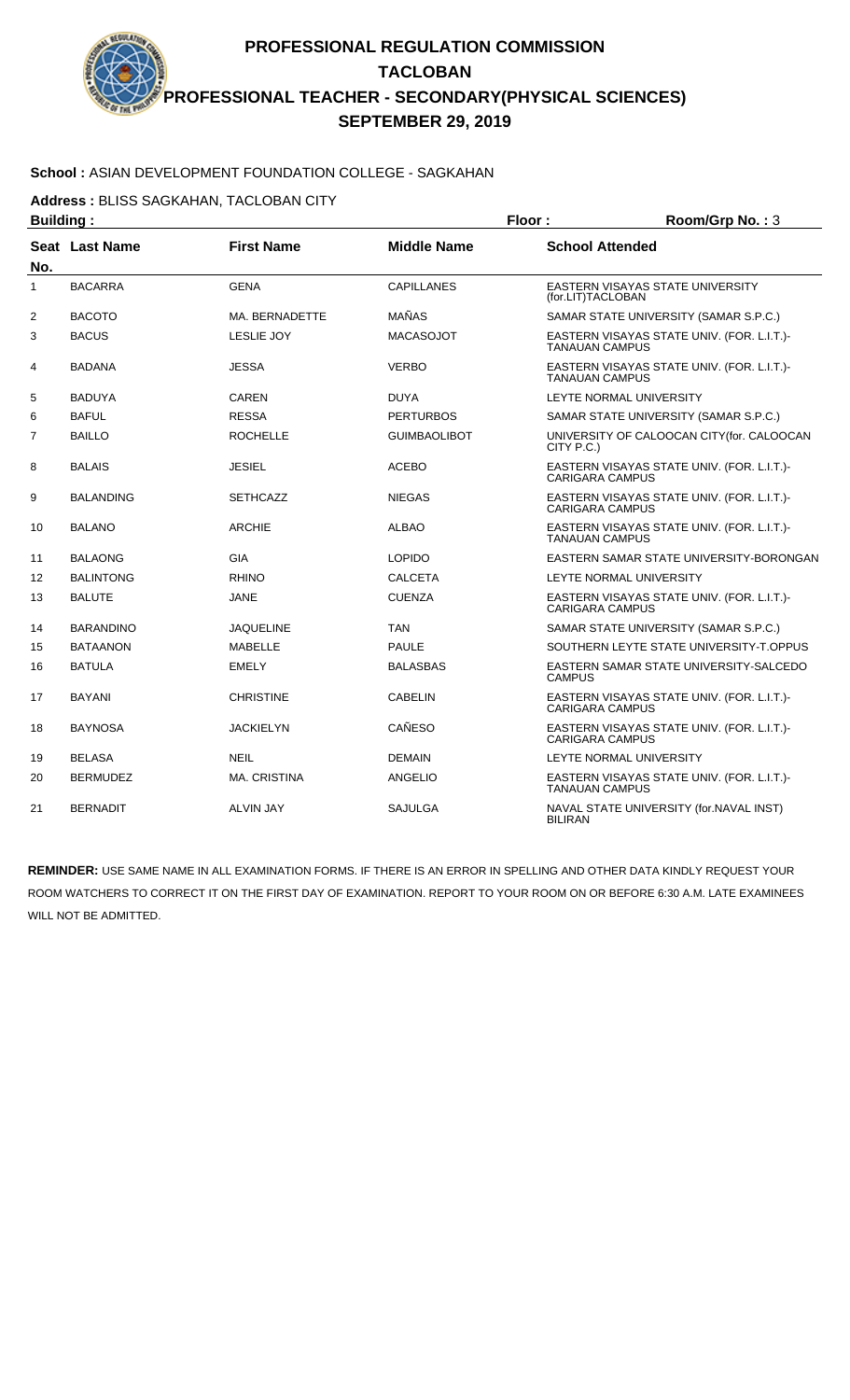#### **School :** ASIAN DEVELOPMENT FOUNDATION COLLEGE - SAGKAHAN

**Address :** BLISS SAGKAHAN, TACLOBAN CITY

| <b>Building:</b> |                  |                     |                     | Floor:<br>Room/Grp No.: 3 |                                            |  |
|------------------|------------------|---------------------|---------------------|---------------------------|--------------------------------------------|--|
| No.              | Seat Last Name   | <b>First Name</b>   | <b>Middle Name</b>  | <b>School Attended</b>    |                                            |  |
| $\mathbf{1}$     | <b>BACARRA</b>   | <b>GENA</b>         | <b>CAPILLANES</b>   | (for.LIT)TACLOBAN         | <b>EASTERN VISAYAS STATE UNIVERSITY</b>    |  |
| 2                | <b>BACOTO</b>    | MA. BERNADETTE      | MAÑAS               |                           | SAMAR STATE UNIVERSITY (SAMAR S.P.C.)      |  |
| 3                | <b>BACUS</b>     | <b>LESLIE JOY</b>   | <b>MACASOJOT</b>    | <b>TANAUAN CAMPUS</b>     | EASTERN VISAYAS STATE UNIV. (FOR. L.I.T.)- |  |
| 4                | <b>BADANA</b>    | <b>JESSA</b>        | <b>VERBO</b>        | <b>TANAUAN CAMPUS</b>     | EASTERN VISAYAS STATE UNIV. (FOR. L.I.T.)- |  |
| 5                | <b>BADUYA</b>    | <b>CAREN</b>        | <b>DUYA</b>         |                           | LEYTE NORMAL UNIVERSITY                    |  |
| 6                | <b>BAFUL</b>     | <b>RESSA</b>        | <b>PERTURBOS</b>    |                           | SAMAR STATE UNIVERSITY (SAMAR S.P.C.)      |  |
| $\overline{7}$   | <b>BAILLO</b>    | <b>ROCHELLE</b>     | <b>GUIMBAOLIBOT</b> | CITY P.C.)                | UNIVERSITY OF CALOOCAN CITY(for. CALOOCAN  |  |
| 8                | <b>BALAIS</b>    | <b>JESIEL</b>       | <b>ACEBO</b>        | <b>CARIGARA CAMPUS</b>    | EASTERN VISAYAS STATE UNIV. (FOR. L.I.T.)- |  |
| 9                | <b>BALANDING</b> | <b>SETHCAZZ</b>     | <b>NIEGAS</b>       | <b>CARIGARA CAMPUS</b>    | EASTERN VISAYAS STATE UNIV. (FOR. L.I.T.)- |  |
| 10               | <b>BALANO</b>    | <b>ARCHIE</b>       | <b>ALBAO</b>        | <b>TANAUAN CAMPUS</b>     | EASTERN VISAYAS STATE UNIV. (FOR. L.I.T.)- |  |
| 11               | <b>BALAONG</b>   | <b>GIA</b>          | <b>LOPIDO</b>       |                           | EASTERN SAMAR STATE UNIVERSITY-BORONGAN    |  |
| 12               | <b>BALINTONG</b> | <b>RHINO</b>        | <b>CALCETA</b>      |                           | LEYTE NORMAL UNIVERSITY                    |  |
| 13               | <b>BALUTE</b>    | <b>JANE</b>         | <b>CUENZA</b>       | <b>CARIGARA CAMPUS</b>    | EASTERN VISAYAS STATE UNIV. (FOR. L.I.T.)- |  |
| 14               | <b>BARANDINO</b> | <b>JAQUELINE</b>    | <b>TAN</b>          |                           | SAMAR STATE UNIVERSITY (SAMAR S.P.C.)      |  |
| 15               | <b>BATAANON</b>  | <b>MABELLE</b>      | <b>PAULE</b>        |                           | SOUTHERN LEYTE STATE UNIVERSITY-T.OPPUS    |  |
| 16               | <b>BATULA</b>    | <b>EMELY</b>        | <b>BALASBAS</b>     | <b>CAMPUS</b>             | EASTERN SAMAR STATE UNIVERSITY-SALCEDO     |  |
| 17               | <b>BAYANI</b>    | <b>CHRISTINE</b>    | <b>CABELIN</b>      | <b>CARIGARA CAMPUS</b>    | EASTERN VISAYAS STATE UNIV. (FOR. L.I.T.)- |  |
| 18               | <b>BAYNOSA</b>   | <b>JACKIELYN</b>    | <b>CAÑESO</b>       | <b>CARIGARA CAMPUS</b>    | EASTERN VISAYAS STATE UNIV. (FOR. L.I.T.)- |  |
| 19               | <b>BELASA</b>    | <b>NEIL</b>         | <b>DEMAIN</b>       |                           | LEYTE NORMAL UNIVERSITY                    |  |
| 20               | <b>BERMUDEZ</b>  | <b>MA. CRISTINA</b> | <b>ANGELIO</b>      | <b>TANAUAN CAMPUS</b>     | EASTERN VISAYAS STATE UNIV. (FOR. L.I.T.)- |  |
| 21               | <b>BERNADIT</b>  | <b>ALVIN JAY</b>    | <b>SAJULGA</b>      | <b>BILIRAN</b>            | NAVAL STATE UNIVERSITY (for.NAVAL INST)    |  |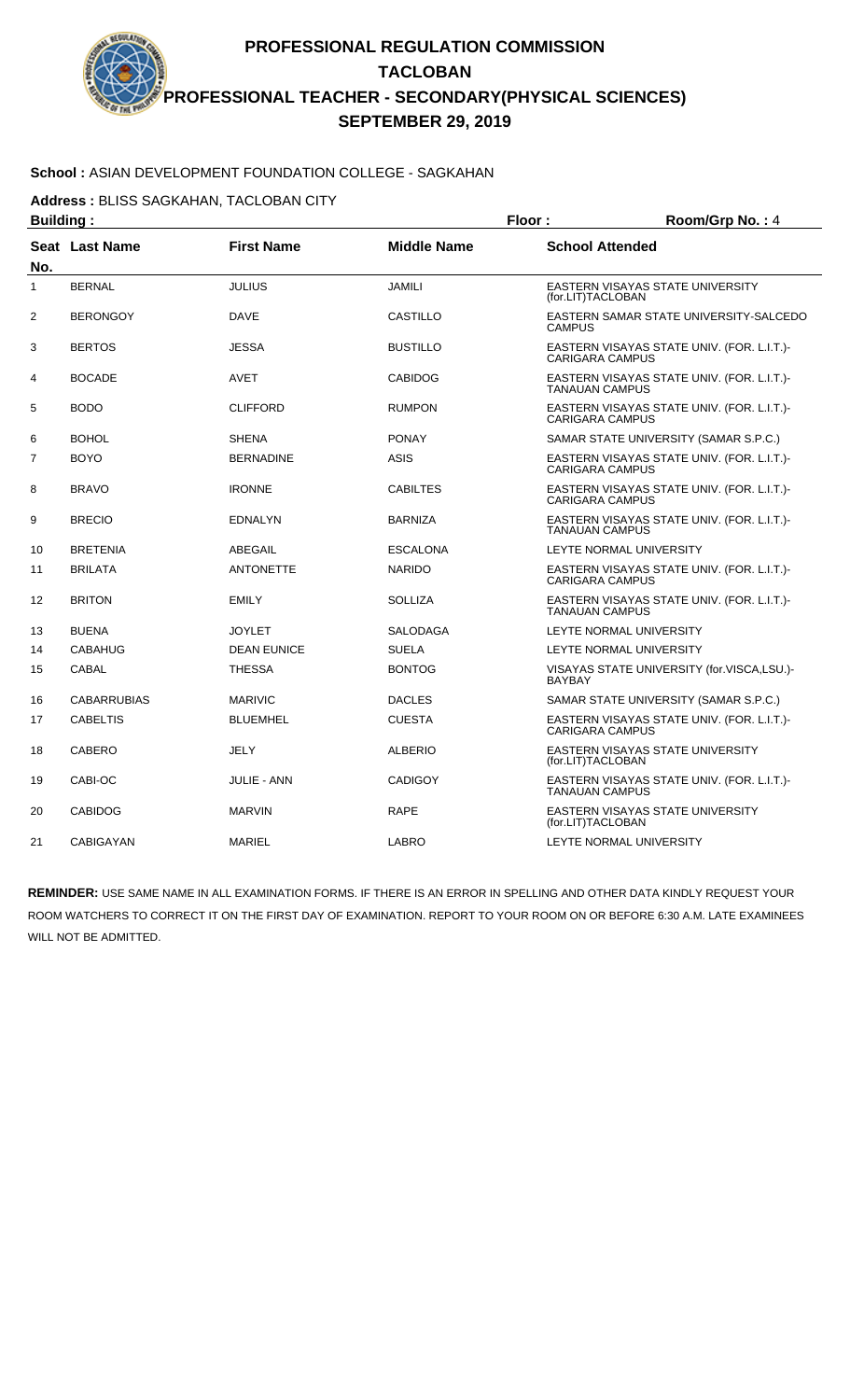# **School :** ASIAN DEVELOPMENT FOUNDATION COLLEGE - SAGKAHAN

**Address :** BLISS SAGKAHAN, TACLOBAN CITY

| <b>Building:</b> |                    |                    | Floor:             | Room/Grp No.: 4                                                      |
|------------------|--------------------|--------------------|--------------------|----------------------------------------------------------------------|
| No.              | Seat Last Name     | <b>First Name</b>  | <b>Middle Name</b> | <b>School Attended</b>                                               |
| 1                | <b>BERNAL</b>      | <b>JULIUS</b>      | <b>JAMILI</b>      | EASTERN VISAYAS STATE UNIVERSITY<br>(for.LIT)TACLOBAN                |
| 2                | <b>BERONGOY</b>    | <b>DAVE</b>        | <b>CASTILLO</b>    | EASTERN SAMAR STATE UNIVERSITY-SALCEDO<br><b>CAMPUS</b>              |
| 3                | <b>BERTOS</b>      | <b>JESSA</b>       | <b>BUSTILLO</b>    | EASTERN VISAYAS STATE UNIV. (FOR. L.I.T.)-<br><b>CARIGARA CAMPUS</b> |
| 4                | <b>BOCADE</b>      | AVET               | <b>CABIDOG</b>     | EASTERN VISAYAS STATE UNIV. (FOR. L.I.T.)-<br><b>TANAUAN CAMPUS</b>  |
| 5                | <b>BODO</b>        | <b>CLIFFORD</b>    | <b>RUMPON</b>      | EASTERN VISAYAS STATE UNIV. (FOR. L.I.T.)-<br><b>CARIGARA CAMPUS</b> |
| 6                | <b>BOHOL</b>       | <b>SHENA</b>       | <b>PONAY</b>       | SAMAR STATE UNIVERSITY (SAMAR S.P.C.)                                |
| $\overline{7}$   | <b>BOYO</b>        | <b>BERNADINE</b>   | <b>ASIS</b>        | EASTERN VISAYAS STATE UNIV. (FOR. L.I.T.)-<br><b>CARIGARA CAMPUS</b> |
| 8                | <b>BRAVO</b>       | <b>IRONNE</b>      | <b>CABILTES</b>    | EASTERN VISAYAS STATE UNIV. (FOR. L.I.T.)-<br><b>CARIGARA CAMPUS</b> |
| 9                | <b>BRECIO</b>      | <b>EDNALYN</b>     | <b>BARNIZA</b>     | EASTERN VISAYAS STATE UNIV. (FOR. L.I.T.)-<br><b>TANAUAN CAMPUS</b>  |
| 10               | <b>BRETENIA</b>    | ABEGAIL            | <b>ESCALONA</b>    | LEYTE NORMAL UNIVERSITY                                              |
| 11               | <b>BRILATA</b>     | <b>ANTONETTE</b>   | <b>NARIDO</b>      | EASTERN VISAYAS STATE UNIV. (FOR. L.I.T.)-<br><b>CARIGARA CAMPUS</b> |
| 12               | <b>BRITON</b>      | <b>EMILY</b>       | <b>SOLLIZA</b>     | EASTERN VISAYAS STATE UNIV. (FOR. L.I.T.)-<br><b>TANAUAN CAMPUS</b>  |
| 13               | <b>BUENA</b>       | <b>JOYLET</b>      | <b>SALODAGA</b>    | LEYTE NORMAL UNIVERSITY                                              |
| 14               | <b>CABAHUG</b>     | <b>DEAN EUNICE</b> | <b>SUELA</b>       | LEYTE NORMAL UNIVERSITY                                              |
| 15               | <b>CABAL</b>       | <b>THESSA</b>      | <b>BONTOG</b>      | VISAYAS STATE UNIVERSITY (for.VISCA,LSU.)-<br><b>BAYBAY</b>          |
| 16               | <b>CABARRUBIAS</b> | <b>MARIVIC</b>     | <b>DACLES</b>      | SAMAR STATE UNIVERSITY (SAMAR S.P.C.)                                |
| 17               | <b>CABELTIS</b>    | <b>BLUEMHEL</b>    | <b>CUESTA</b>      | EASTERN VISAYAS STATE UNIV. (FOR. L.I.T.)-<br><b>CARIGARA CAMPUS</b> |
| 18               | <b>CABERO</b>      | JELY               | <b>ALBERIO</b>     | EASTERN VISAYAS STATE UNIVERSITY<br>(for.LIT)TACLOBAN                |
| 19               | CABI-OC            | <b>JULIE - ANN</b> | <b>CADIGOY</b>     | EASTERN VISAYAS STATE UNIV. (FOR. L.I.T.)-<br><b>TANAUAN CAMPUS</b>  |
| 20               | <b>CABIDOG</b>     | <b>MARVIN</b>      | <b>RAPE</b>        | EASTERN VISAYAS STATE UNIVERSITY<br>(for.LIT)TACLOBAN                |
| 21               | CABIGAYAN          | <b>MARIEL</b>      | <b>LABRO</b>       | LEYTE NORMAL UNIVERSITY                                              |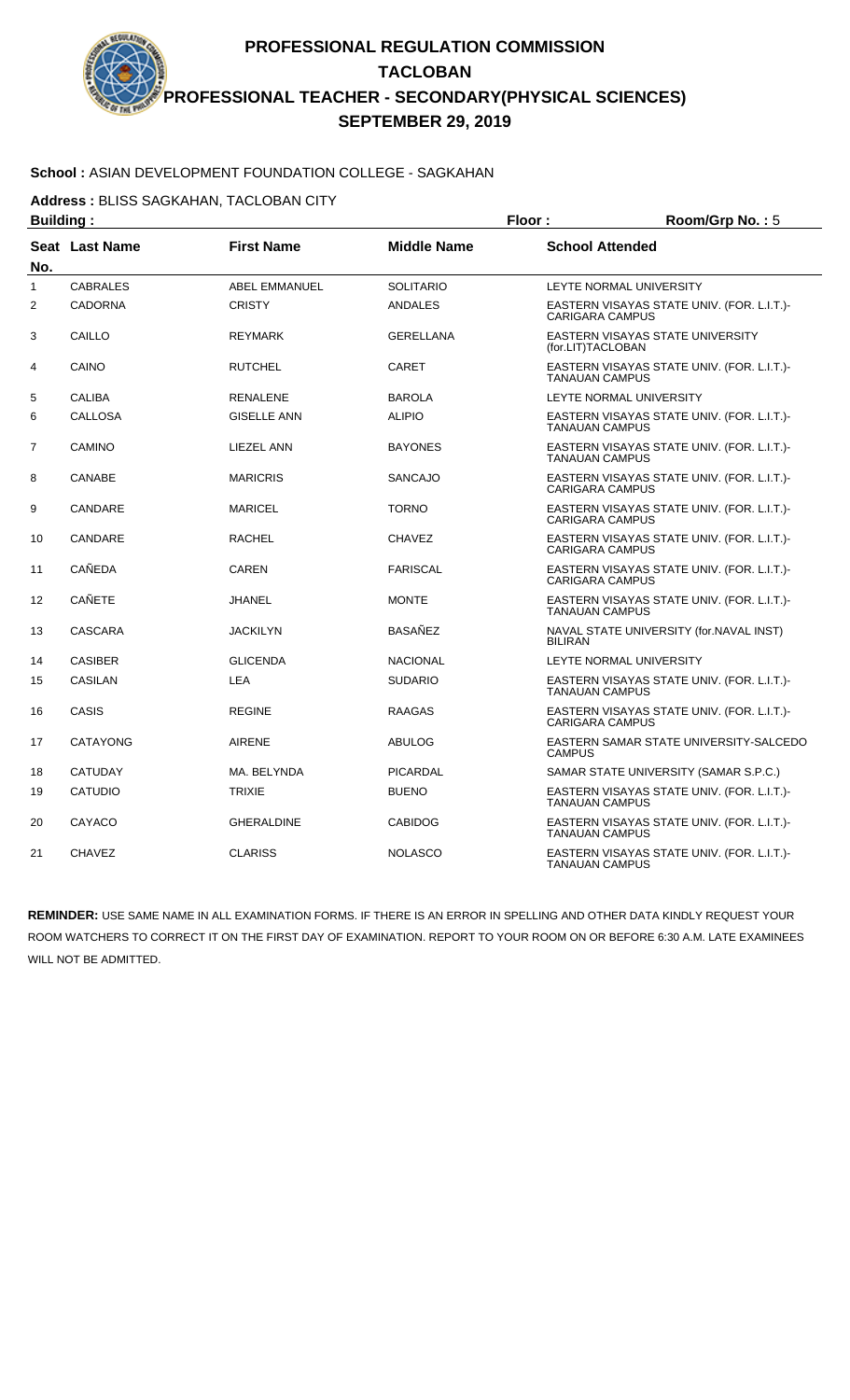#### **School :** ASIAN DEVELOPMENT FOUNDATION COLLEGE - SAGKAHAN

**Address :** BLISS SAGKAHAN, TACLOBAN CITY

| <b>Building:</b> |                 |                      | Floor:             | Room/Grp No.: 5         |                                            |
|------------------|-----------------|----------------------|--------------------|-------------------------|--------------------------------------------|
| No.              | Seat Last Name  | <b>First Name</b>    | <b>Middle Name</b> | <b>School Attended</b>  |                                            |
| 1                | <b>CABRALES</b> | <b>ABEL EMMANUEL</b> | <b>SOLITARIO</b>   | LEYTE NORMAL UNIVERSITY |                                            |
| 2                | <b>CADORNA</b>  | <b>CRISTY</b>        | <b>ANDALES</b>     | <b>CARIGARA CAMPUS</b>  | EASTERN VISAYAS STATE UNIV. (FOR. L.I.T.)- |
| 3                | CAILLO          | <b>REYMARK</b>       | <b>GERELLANA</b>   | (for.LIT)TACLOBAN       | EASTERN VISAYAS STATE UNIVERSITY           |
| 4                | CAINO           | <b>RUTCHEL</b>       | CARET              | <b>TANAUAN CAMPUS</b>   | EASTERN VISAYAS STATE UNIV. (FOR. L.I.T.)- |
| 5                | <b>CALIBA</b>   | <b>RENALENE</b>      | <b>BAROLA</b>      | LEYTE NORMAL UNIVERSITY |                                            |
| 6                | <b>CALLOSA</b>  | <b>GISELLE ANN</b>   | <b>ALIPIO</b>      | <b>TANAUAN CAMPUS</b>   | EASTERN VISAYAS STATE UNIV. (FOR. L.I.T.)- |
| 7                | CAMINO          | LIEZEL ANN           | <b>BAYONES</b>     | <b>TANAUAN CAMPUS</b>   | EASTERN VISAYAS STATE UNIV. (FOR. L.I.T.)- |
| 8                | CANABE          | <b>MARICRIS</b>      | SANCAJO            | <b>CARIGARA CAMPUS</b>  | EASTERN VISAYAS STATE UNIV. (FOR. L.I.T.)- |
| 9                | CANDARE         | <b>MARICEL</b>       | <b>TORNO</b>       | <b>CARIGARA CAMPUS</b>  | EASTERN VISAYAS STATE UNIV. (FOR. L.I.T.)- |
| 10               | CANDARE         | <b>RACHEL</b>        | <b>CHAVEZ</b>      | <b>CARIGARA CAMPUS</b>  | EASTERN VISAYAS STATE UNIV. (FOR. L.I.T.)- |
| 11               | <b>CAÑEDA</b>   | <b>CAREN</b>         | <b>FARISCAL</b>    | <b>CARIGARA CAMPUS</b>  | EASTERN VISAYAS STATE UNIV. (FOR. L.I.T.)- |
| 12               | <b>CAÑETE</b>   | <b>JHANEL</b>        | <b>MONTE</b>       | <b>TANAUAN CAMPUS</b>   | EASTERN VISAYAS STATE UNIV. (FOR. L.I.T.)- |
| 13               | <b>CASCARA</b>  | <b>JACKILYN</b>      | BASAÑEZ            | <b>BILIRAN</b>          | NAVAL STATE UNIVERSITY (for.NAVAL INST)    |
| 14               | <b>CASIBER</b>  | <b>GLICENDA</b>      | <b>NACIONAL</b>    | LEYTE NORMAL UNIVERSITY |                                            |
| 15               | <b>CASILAN</b>  | LEA                  | <b>SUDARIO</b>     | <b>TANAUAN CAMPUS</b>   | EASTERN VISAYAS STATE UNIV. (FOR. L.I.T.)- |
| 16               | CASIS           | <b>REGINE</b>        | <b>RAAGAS</b>      | <b>CARIGARA CAMPUS</b>  | EASTERN VISAYAS STATE UNIV. (FOR. L.I.T.)- |
| 17               | CATAYONG        | <b>AIRENE</b>        | <b>ABULOG</b>      | <b>CAMPUS</b>           | EASTERN SAMAR STATE UNIVERSITY-SALCEDO     |
| 18               | <b>CATUDAY</b>  | MA. BELYNDA          | <b>PICARDAL</b>    |                         | SAMAR STATE UNIVERSITY (SAMAR S.P.C.)      |
| 19               | <b>CATUDIO</b>  | <b>TRIXIE</b>        | <b>BUENO</b>       | <b>TANAUAN CAMPUS</b>   | EASTERN VISAYAS STATE UNIV. (FOR. L.I.T.)- |
| 20               | CAYACO          | <b>GHERALDINE</b>    | <b>CABIDOG</b>     | <b>TANAUAN CAMPUS</b>   | EASTERN VISAYAS STATE UNIV. (FOR. L.I.T.)- |
| 21               | <b>CHAVEZ</b>   | <b>CLARISS</b>       | <b>NOLASCO</b>     | <b>TANAUAN CAMPUS</b>   | EASTERN VISAYAS STATE UNIV. (FOR. L.I.T.)- |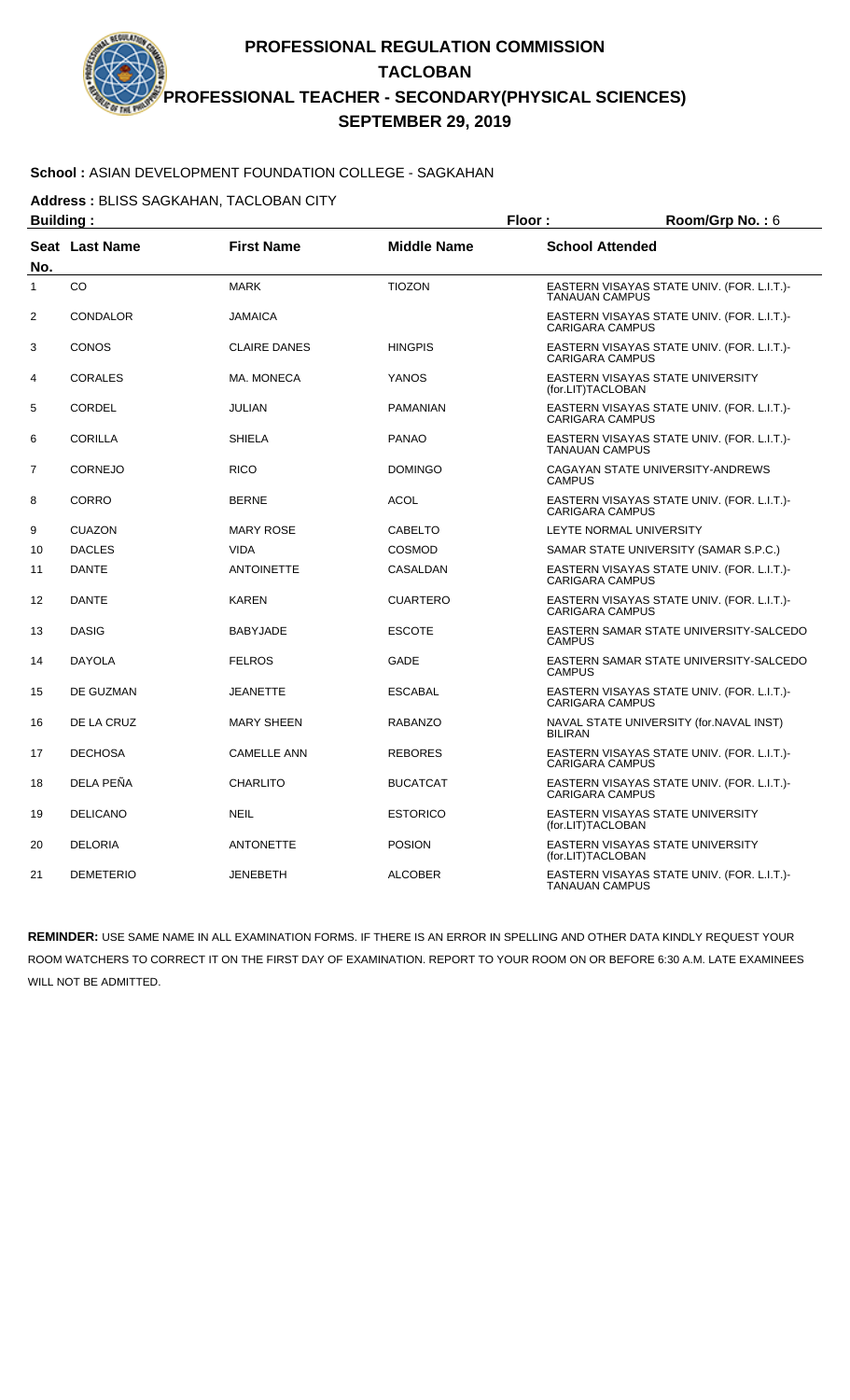### **School :** ASIAN DEVELOPMENT FOUNDATION COLLEGE - SAGKAHAN

**Address :** BLISS SAGKAHAN, TACLOBAN CITY

| <b>Building:</b> |                  |                     |                    | Floor:                 | Room/Grp No.: 6                            |
|------------------|------------------|---------------------|--------------------|------------------------|--------------------------------------------|
| No.              | Seat Last Name   | <b>First Name</b>   | <b>Middle Name</b> | <b>School Attended</b> |                                            |
| 1                | CO               | <b>MARK</b>         | <b>TIOZON</b>      | <b>TANAUAN CAMPUS</b>  | EASTERN VISAYAS STATE UNIV. (FOR. L.I.T.)- |
| 2                | <b>CONDALOR</b>  | <b>JAMAICA</b>      |                    | <b>CARIGARA CAMPUS</b> | EASTERN VISAYAS STATE UNIV. (FOR. L.I.T.)- |
| 3                | <b>CONOS</b>     | <b>CLAIRE DANES</b> | <b>HINGPIS</b>     | <b>CARIGARA CAMPUS</b> | EASTERN VISAYAS STATE UNIV. (FOR. L.I.T.)- |
| 4                | <b>CORALES</b>   | MA. MONECA          | <b>YANOS</b>       | (for.LIT)TACLOBAN      | EASTERN VISAYAS STATE UNIVERSITY           |
| 5                | <b>CORDEL</b>    | <b>JULIAN</b>       | <b>PAMANIAN</b>    | <b>CARIGARA CAMPUS</b> | EASTERN VISAYAS STATE UNIV. (FOR. L.I.T.)- |
| 6                | <b>CORILLA</b>   | <b>SHIELA</b>       | <b>PANAO</b>       | <b>TANAUAN CAMPUS</b>  | EASTERN VISAYAS STATE UNIV. (FOR. L.I.T.)- |
| 7                | <b>CORNEJO</b>   | <b>RICO</b>         | <b>DOMINGO</b>     | <b>CAMPUS</b>          | CAGAYAN STATE UNIVERSITY-ANDREWS           |
| 8                | <b>CORRO</b>     | <b>BERNE</b>        | <b>ACOL</b>        | <b>CARIGARA CAMPUS</b> | EASTERN VISAYAS STATE UNIV. (FOR. L.I.T.)- |
| 9                | <b>CUAZON</b>    | <b>MARY ROSE</b>    | <b>CABELTO</b>     |                        | LEYTE NORMAL UNIVERSITY                    |
| 10               | <b>DACLES</b>    | <b>VIDA</b>         | <b>COSMOD</b>      |                        | SAMAR STATE UNIVERSITY (SAMAR S.P.C.)      |
| 11               | <b>DANTE</b>     | <b>ANTOINETTE</b>   | CASALDAN           | <b>CARIGARA CAMPUS</b> | EASTERN VISAYAS STATE UNIV. (FOR. L.I.T.)- |
| 12               | <b>DANTE</b>     | <b>KAREN</b>        | <b>CUARTERO</b>    | <b>CARIGARA CAMPUS</b> | EASTERN VISAYAS STATE UNIV. (FOR. L.I.T.)- |
| 13               | <b>DASIG</b>     | <b>BABYJADE</b>     | <b>ESCOTE</b>      | <b>CAMPUS</b>          | EASTERN SAMAR STATE UNIVERSITY-SALCEDO     |
| 14               | <b>DAYOLA</b>    | <b>FELROS</b>       | GADE               | <b>CAMPUS</b>          | EASTERN SAMAR STATE UNIVERSITY-SALCEDO     |
| 15               | DE GUZMAN        | <b>JEANETTE</b>     | <b>ESCABAL</b>     | <b>CARIGARA CAMPUS</b> | EASTERN VISAYAS STATE UNIV. (FOR. L.I.T.)- |
| 16               | DE LA CRUZ       | <b>MARY SHEEN</b>   | <b>RABANZO</b>     | <b>BILIRAN</b>         | NAVAL STATE UNIVERSITY (for.NAVAL INST)    |
| 17               | <b>DECHOSA</b>   | <b>CAMELLE ANN</b>  | <b>REBORES</b>     | <b>CARIGARA CAMPUS</b> | EASTERN VISAYAS STATE UNIV. (FOR. L.I.T.)- |
| 18               | DELA PEÑA        | <b>CHARLITO</b>     | <b>BUCATCAT</b>    | <b>CARIGARA CAMPUS</b> | EASTERN VISAYAS STATE UNIV. (FOR. L.I.T.)- |
| 19               | <b>DELICANO</b>  | <b>NEIL</b>         | <b>ESTORICO</b>    | (for.LIT)TACLOBAN      | EASTERN VISAYAS STATE UNIVERSITY           |
| 20               | <b>DELORIA</b>   | <b>ANTONETTE</b>    | <b>POSION</b>      | (for.LIT)TACLOBAN      | EASTERN VISAYAS STATE UNIVERSITY           |
| 21               | <b>DEMETERIO</b> | <b>JENEBETH</b>     | <b>ALCOBER</b>     | <b>TANAUAN CAMPUS</b>  | EASTERN VISAYAS STATE UNIV. (FOR. L.I.T.)- |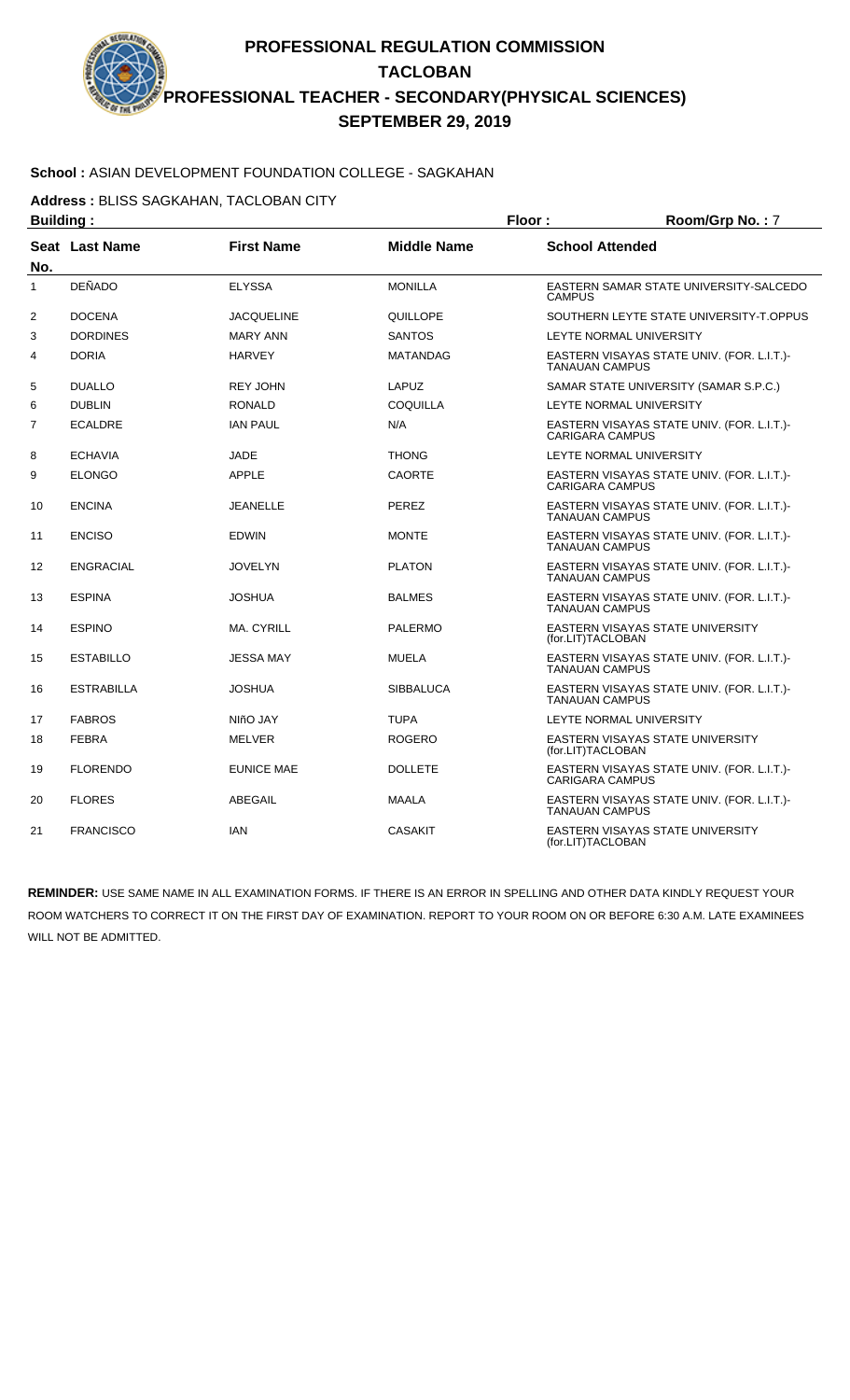# **School :** ASIAN DEVELOPMENT FOUNDATION COLLEGE - SAGKAHAN

**Address :** BLISS SAGKAHAN, TACLOBAN CITY

| <b>Building:</b> |                   |                   |                    | Floor:                 | Room/Grp No.: 7                            |
|------------------|-------------------|-------------------|--------------------|------------------------|--------------------------------------------|
| No.              | Seat Last Name    | <b>First Name</b> | <b>Middle Name</b> | <b>School Attended</b> |                                            |
| $\mathbf{1}$     | <b>DEÑADO</b>     | <b>ELYSSA</b>     | <b>MONILLA</b>     | <b>CAMPUS</b>          | EASTERN SAMAR STATE UNIVERSITY-SALCEDO     |
| 2                | <b>DOCENA</b>     | <b>JACQUELINE</b> | QUILLOPE           |                        | SOUTHERN LEYTE STATE UNIVERSITY-T.OPPUS    |
| 3                | <b>DORDINES</b>   | <b>MARY ANN</b>   | <b>SANTOS</b>      |                        | LEYTE NORMAL UNIVERSITY                    |
| 4                | <b>DORIA</b>      | <b>HARVEY</b>     | <b>MATANDAG</b>    | <b>TANAUAN CAMPUS</b>  | EASTERN VISAYAS STATE UNIV. (FOR. L.I.T.)- |
| 5                | <b>DUALLO</b>     | <b>REY JOHN</b>   | LAPUZ              |                        | SAMAR STATE UNIVERSITY (SAMAR S.P.C.)      |
| 6                | <b>DUBLIN</b>     | <b>RONALD</b>     | <b>COQUILLA</b>    |                        | <b>LEYTE NORMAL UNIVERSITY</b>             |
| 7                | <b>ECALDRE</b>    | <b>IAN PAUL</b>   | N/A                | <b>CARIGARA CAMPUS</b> | EASTERN VISAYAS STATE UNIV. (FOR. L.I.T.)- |
| 8                | <b>ECHAVIA</b>    | <b>JADE</b>       | <b>THONG</b>       |                        | LEYTE NORMAL UNIVERSITY                    |
| 9                | <b>ELONGO</b>     | <b>APPLE</b>      | <b>CAORTE</b>      | <b>CARIGARA CAMPUS</b> | EASTERN VISAYAS STATE UNIV. (FOR. L.I.T.)- |
| 10               | <b>ENCINA</b>     | <b>JEANELLE</b>   | PEREZ              | <b>TANAUAN CAMPUS</b>  | EASTERN VISAYAS STATE UNIV. (FOR. L.I.T.)- |
| 11               | <b>ENCISO</b>     | <b>EDWIN</b>      | <b>MONTE</b>       | <b>TANAUAN CAMPUS</b>  | EASTERN VISAYAS STATE UNIV. (FOR. L.I.T.)- |
| 12               | <b>ENGRACIAL</b>  | <b>JOVELYN</b>    | <b>PLATON</b>      | <b>TANAUAN CAMPUS</b>  | EASTERN VISAYAS STATE UNIV. (FOR. L.I.T.)- |
| 13               | <b>ESPINA</b>     | <b>JOSHUA</b>     | <b>BALMES</b>      | <b>TANAUAN CAMPUS</b>  | EASTERN VISAYAS STATE UNIV. (FOR. L.I.T.)- |
| 14               | <b>ESPINO</b>     | <b>MA. CYRILL</b> | <b>PALERMO</b>     | (for.LIT)TACLOBAN      | EASTERN VISAYAS STATE UNIVERSITY           |
| 15               | <b>ESTABILLO</b>  | <b>JESSA MAY</b>  | <b>MUELA</b>       | <b>TANAUAN CAMPUS</b>  | EASTERN VISAYAS STATE UNIV. (FOR. L.I.T.)- |
| 16               | <b>ESTRABILLA</b> | <b>JOSHUA</b>     | <b>SIBBALUCA</b>   | <b>TANAUAN CAMPUS</b>  | EASTERN VISAYAS STATE UNIV. (FOR. L.I.T.)- |
| 17               | <b>FABROS</b>     | NIñO JAY          | <b>TUPA</b>        |                        | LEYTE NORMAL UNIVERSITY                    |
| 18               | <b>FEBRA</b>      | MELVER            | <b>ROGERO</b>      | (for.LIT)TACLOBAN      | EASTERN VISAYAS STATE UNIVERSITY           |
| 19               | <b>FLORENDO</b>   | <b>EUNICE MAE</b> | <b>DOLLETE</b>     | <b>CARIGARA CAMPUS</b> | EASTERN VISAYAS STATE UNIV. (FOR. L.I.T.)- |
| 20               | <b>FLORES</b>     | ABEGAIL           | <b>MAALA</b>       | <b>TANAUAN CAMPUS</b>  | EASTERN VISAYAS STATE UNIV. (FOR. L.I.T.)- |
| 21               | <b>FRANCISCO</b>  | <b>IAN</b>        | <b>CASAKIT</b>     | (for.LIT)TACLOBAN      | <b>EASTERN VISAYAS STATE UNIVERSITY</b>    |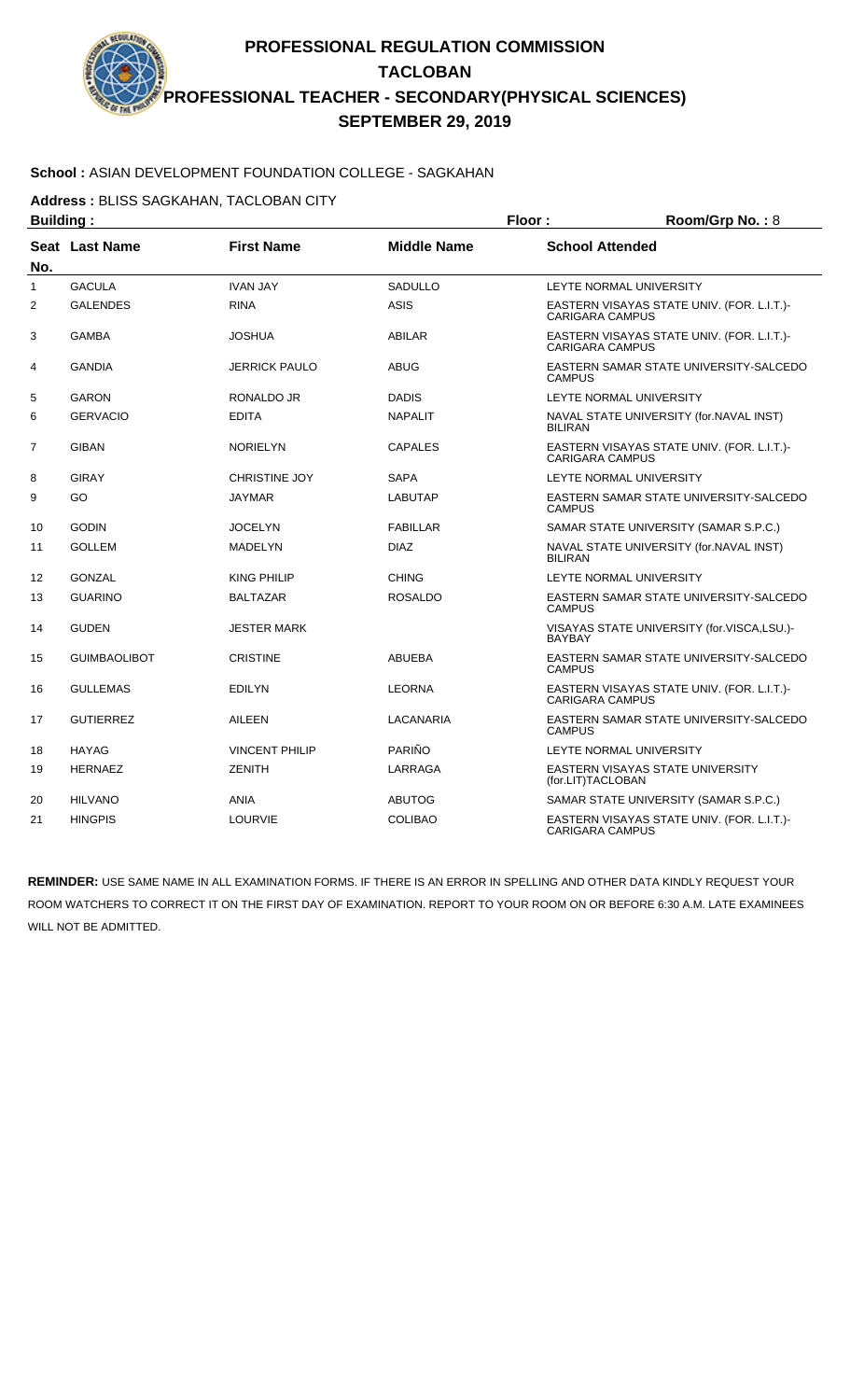#### **School :** ASIAN DEVELOPMENT FOUNDATION COLLEGE - SAGKAHAN

**Address :** BLISS SAGKAHAN, TACLOBAN CITY

|                | <b>Building:</b>      |                       |                    | Floor:                 | Room/Grp No.: 8                            |
|----------------|-----------------------|-----------------------|--------------------|------------------------|--------------------------------------------|
| No.            | <b>Seat Last Name</b> | <b>First Name</b>     | <b>Middle Name</b> | <b>School Attended</b> |                                            |
| $\mathbf{1}$   | <b>GACULA</b>         | <b>IVAN JAY</b>       | <b>SADULLO</b>     |                        | LEYTE NORMAL UNIVERSITY                    |
| 2              | <b>GALENDES</b>       | <b>RINA</b>           | <b>ASIS</b>        | <b>CARIGARA CAMPUS</b> | EASTERN VISAYAS STATE UNIV. (FOR. L.I.T.)- |
| 3              | <b>GAMBA</b>          | <b>JOSHUA</b>         | <b>ABILAR</b>      | <b>CARIGARA CAMPUS</b> | EASTERN VISAYAS STATE UNIV. (FOR. L.I.T.)- |
| 4              | <b>GANDIA</b>         | <b>JERRICK PAULO</b>  | <b>ABUG</b>        | <b>CAMPUS</b>          | EASTERN SAMAR STATE UNIVERSITY-SALCEDO     |
| 5              | <b>GARON</b>          | RONALDO JR            | <b>DADIS</b>       |                        | LEYTE NORMAL UNIVERSITY                    |
| 6              | <b>GERVACIO</b>       | <b>EDITA</b>          | <b>NAPALIT</b>     | <b>BILIRAN</b>         | NAVAL STATE UNIVERSITY (for.NAVAL INST)    |
| $\overline{7}$ | <b>GIBAN</b>          | <b>NORIELYN</b>       | <b>CAPALES</b>     | <b>CARIGARA CAMPUS</b> | EASTERN VISAYAS STATE UNIV. (FOR. L.I.T.)- |
| 8              | <b>GIRAY</b>          | <b>CHRISTINE JOY</b>  | <b>SAPA</b>        |                        | LEYTE NORMAL UNIVERSITY                    |
| 9              | GO                    | <b>JAYMAR</b>         | <b>LABUTAP</b>     | <b>CAMPUS</b>          | EASTERN SAMAR STATE UNIVERSITY-SALCEDO     |
| 10             | <b>GODIN</b>          | <b>JOCELYN</b>        | <b>FABILLAR</b>    |                        | SAMAR STATE UNIVERSITY (SAMAR S.P.C.)      |
| 11             | <b>GOLLEM</b>         | <b>MADELYN</b>        | <b>DIAZ</b>        | <b>BILIRAN</b>         | NAVAL STATE UNIVERSITY (for.NAVAL INST)    |
| 12             | <b>GONZAL</b>         | <b>KING PHILIP</b>    | <b>CHING</b>       |                        | LEYTE NORMAL UNIVERSITY                    |
| 13             | <b>GUARINO</b>        | <b>BALTAZAR</b>       | <b>ROSALDO</b>     | <b>CAMPUS</b>          | EASTERN SAMAR STATE UNIVERSITY-SALCEDO     |
| 14             | <b>GUDEN</b>          | <b>JESTER MARK</b>    |                    | <b>BAYBAY</b>          | VISAYAS STATE UNIVERSITY (for.VISCA,LSU.)- |
| 15             | <b>GUIMBAOLIBOT</b>   | <b>CRISTINE</b>       | <b>ABUEBA</b>      | <b>CAMPUS</b>          | EASTERN SAMAR STATE UNIVERSITY-SALCEDO     |
| 16             | <b>GULLEMAS</b>       | <b>EDILYN</b>         | <b>LEORNA</b>      | <b>CARIGARA CAMPUS</b> | EASTERN VISAYAS STATE UNIV. (FOR. L.I.T.)- |
| 17             | <b>GUTIERREZ</b>      | <b>AILEEN</b>         | LACANARIA          | <b>CAMPUS</b>          | EASTERN SAMAR STATE UNIVERSITY-SALCEDO     |
| 18             | <b>HAYAG</b>          | <b>VINCENT PHILIP</b> | PARIÑO             |                        | LEYTE NORMAL UNIVERSITY                    |
| 19             | <b>HERNAEZ</b>        | <b>ZENITH</b>         | LARRAGA            | (for.LIT)TACLOBAN      | EASTERN VISAYAS STATE UNIVERSITY           |
| 20             | <b>HILVANO</b>        | <b>ANIA</b>           | <b>ABUTOG</b>      |                        | SAMAR STATE UNIVERSITY (SAMAR S.P.C.)      |
| 21             | <b>HINGPIS</b>        | <b>LOURVIE</b>        | <b>COLIBAO</b>     | <b>CARIGARA CAMPUS</b> | EASTERN VISAYAS STATE UNIV. (FOR. L.I.T.)- |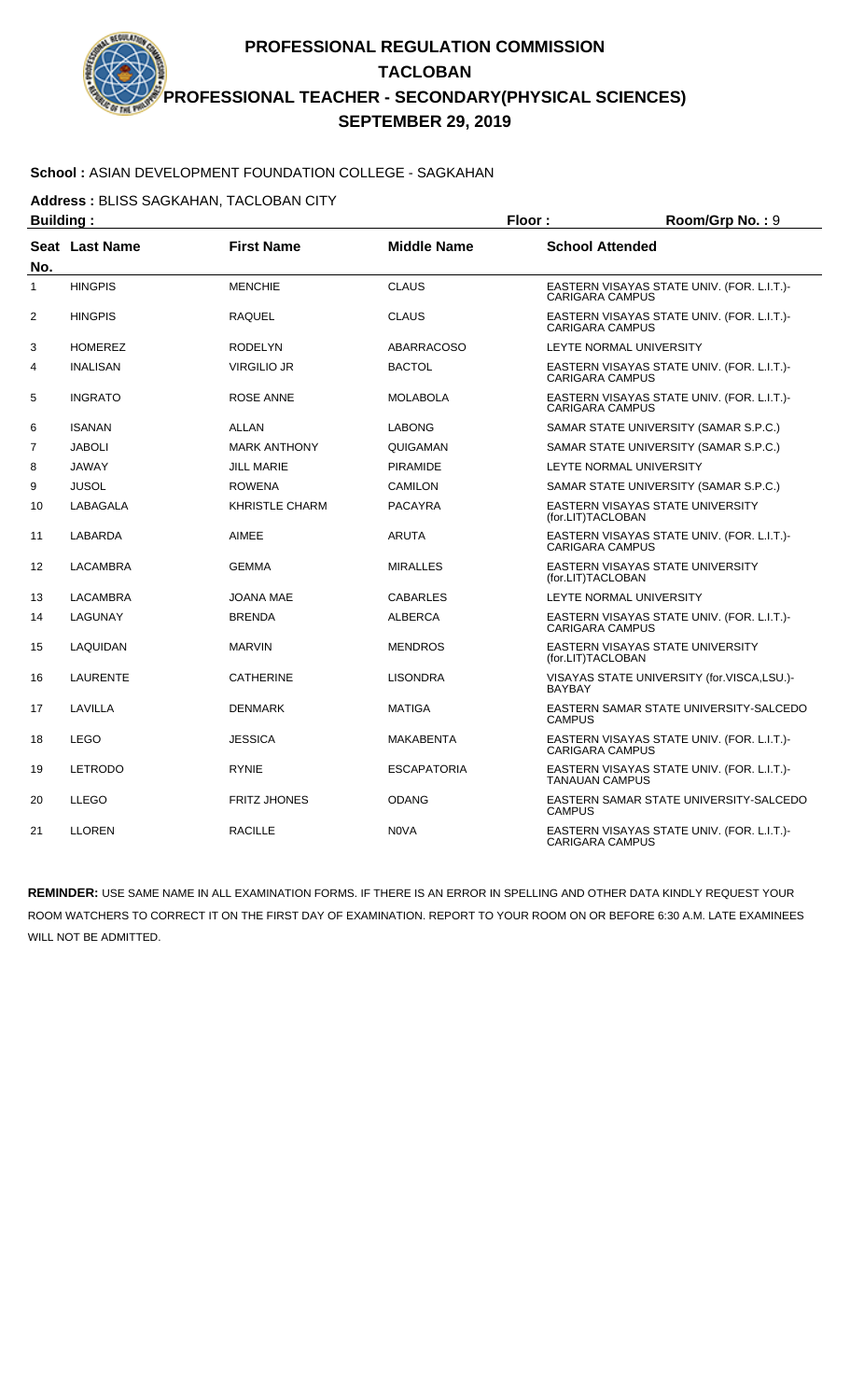#### **School :** ASIAN DEVELOPMENT FOUNDATION COLLEGE - SAGKAHAN

**Address :** BLISS SAGKAHAN, TACLOBAN CITY

| <b>Building:</b> |                 |                       |                    | Floor:                  | Room/Grp No.: 9                            |
|------------------|-----------------|-----------------------|--------------------|-------------------------|--------------------------------------------|
| No.              | Seat Last Name  | <b>First Name</b>     | <b>Middle Name</b> | <b>School Attended</b>  |                                            |
| $\mathbf{1}$     | <b>HINGPIS</b>  | <b>MENCHIE</b>        | <b>CLAUS</b>       | <b>CARIGARA CAMPUS</b>  | EASTERN VISAYAS STATE UNIV. (FOR. L.I.T.)- |
| 2                | <b>HINGPIS</b>  | <b>RAQUEL</b>         | <b>CLAUS</b>       | <b>CARIGARA CAMPUS</b>  | EASTERN VISAYAS STATE UNIV. (FOR. L.I.T.)- |
| 3                | <b>HOMEREZ</b>  | <b>RODELYN</b>        | <b>ABARRACOSO</b>  | LEYTE NORMAL UNIVERSITY |                                            |
| 4                | <b>INALISAN</b> | <b>VIRGILIO JR</b>    | <b>BACTOL</b>      | <b>CARIGARA CAMPUS</b>  | EASTERN VISAYAS STATE UNIV. (FOR. L.I.T.)- |
| 5                | <b>INGRATO</b>  | <b>ROSE ANNE</b>      | <b>MOLABOLA</b>    | <b>CARIGARA CAMPUS</b>  | EASTERN VISAYAS STATE UNIV. (FOR. L.I.T.)- |
| 6                | <b>ISANAN</b>   | ALLAN                 | <b>LABONG</b>      |                         | SAMAR STATE UNIVERSITY (SAMAR S.P.C.)      |
| $\overline{7}$   | <b>JABOLI</b>   | <b>MARK ANTHONY</b>   | QUIGAMAN           |                         | SAMAR STATE UNIVERSITY (SAMAR S.P.C.)      |
| 8                | <b>JAWAY</b>    | <b>JILL MARIE</b>     | <b>PIRAMIDE</b>    | LEYTE NORMAL UNIVERSITY |                                            |
| 9                | <b>JUSOL</b>    | <b>ROWENA</b>         | <b>CAMILON</b>     |                         | SAMAR STATE UNIVERSITY (SAMAR S.P.C.)      |
| 10               | LABAGALA        | <b>KHRISTLE CHARM</b> | <b>PACAYRA</b>     | (for.LIT)TACLOBAN       | <b>EASTERN VISAYAS STATE UNIVERSITY</b>    |
| 11               | <b>LABARDA</b>  | <b>AIMEE</b>          | <b>ARUTA</b>       | <b>CARIGARA CAMPUS</b>  | EASTERN VISAYAS STATE UNIV. (FOR. L.I.T.)- |
| 12               | LACAMBRA        | <b>GEMMA</b>          | <b>MIRALLES</b>    | (for.LIT)TACLOBAN       | EASTERN VISAYAS STATE UNIVERSITY           |
| 13               | <b>LACAMBRA</b> | <b>JOANA MAE</b>      | <b>CABARLES</b>    | LEYTE NORMAL UNIVERSITY |                                            |
| 14               | LAGUNAY         | <b>BRENDA</b>         | <b>ALBERCA</b>     | <b>CARIGARA CAMPUS</b>  | EASTERN VISAYAS STATE UNIV. (FOR. L.I.T.)- |
| 15               | LAQUIDAN        | <b>MARVIN</b>         | <b>MENDROS</b>     | (for.LIT)TACLOBAN       | EASTERN VISAYAS STATE UNIVERSITY           |
| 16               | <b>LAURENTE</b> | <b>CATHERINE</b>      | <b>LISONDRA</b>    | <b>BAYBAY</b>           | VISAYAS STATE UNIVERSITY (for.VISCA,LSU.)- |
| 17               | LAVILLA         | <b>DENMARK</b>        | <b>MATIGA</b>      | <b>CAMPUS</b>           | EASTERN SAMAR STATE UNIVERSITY-SALCEDO     |
| 18               | <b>LEGO</b>     | <b>JESSICA</b>        | <b>MAKABENTA</b>   | <b>CARIGARA CAMPUS</b>  | EASTERN VISAYAS STATE UNIV. (FOR. L.I.T.)- |
| 19               | <b>LETRODO</b>  | <b>RYNIE</b>          | <b>ESCAPATORIA</b> | <b>TANAUAN CAMPUS</b>   | EASTERN VISAYAS STATE UNIV. (FOR. L.I.T.)- |
| 20               | <b>LLEGO</b>    | <b>FRITZ JHONES</b>   | <b>ODANG</b>       | <b>CAMPUS</b>           | EASTERN SAMAR STATE UNIVERSITY-SALCEDO     |
| 21               | <b>LLOREN</b>   | <b>RACILLE</b>        | N <sub>0</sub> VA  | <b>CARIGARA CAMPUS</b>  | EASTERN VISAYAS STATE UNIV. (FOR. L.I.T.)- |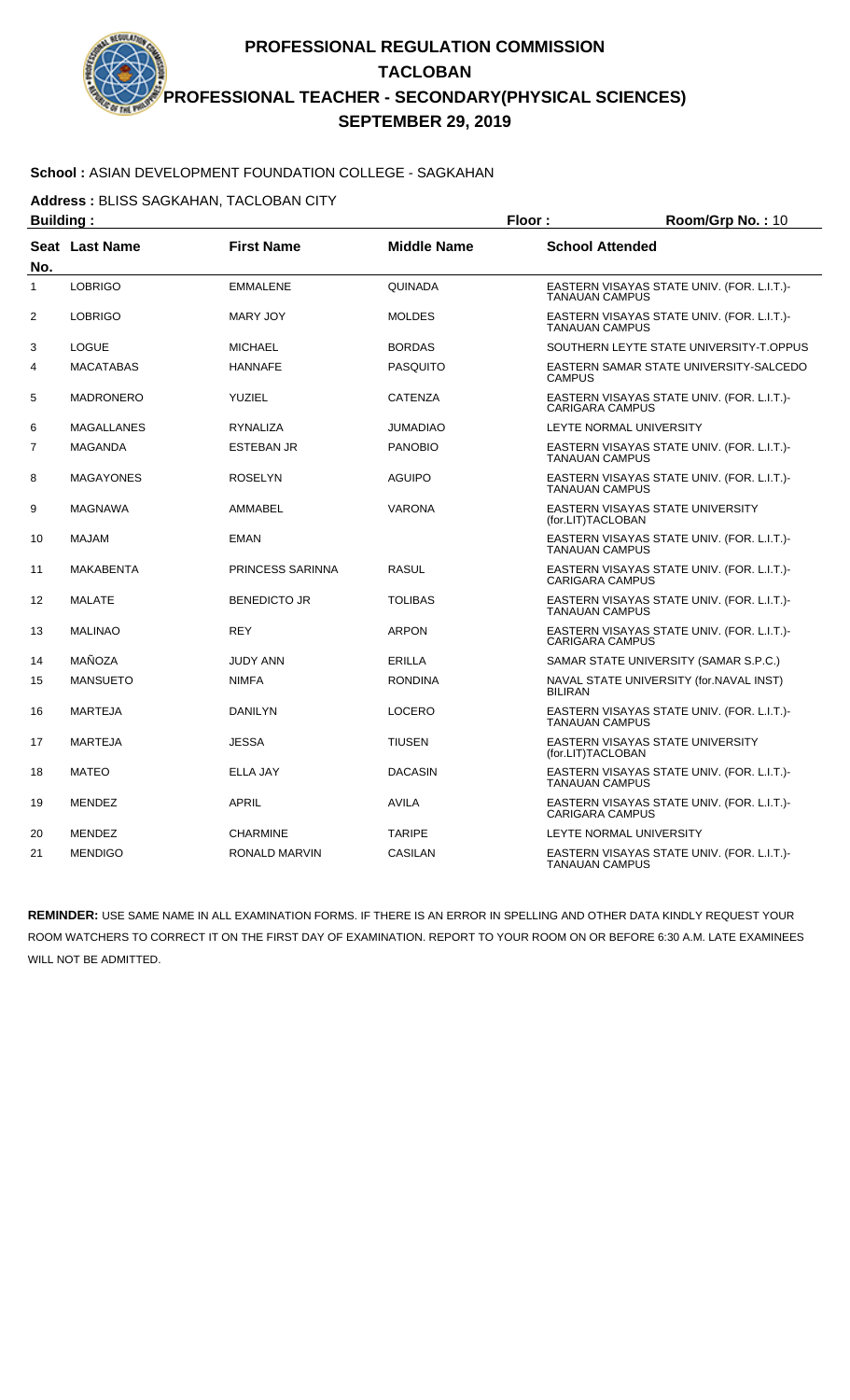### **School :** ASIAN DEVELOPMENT FOUNDATION COLLEGE - SAGKAHAN

**Address :** BLISS SAGKAHAN, TACLOBAN CITY

| <b>Building:</b> |                  |                      | Floor:             |                                                       | Room/Grp No.: 10                           |
|------------------|------------------|----------------------|--------------------|-------------------------------------------------------|--------------------------------------------|
| No.              | Seat Last Name   | <b>First Name</b>    | <b>Middle Name</b> | <b>School Attended</b>                                |                                            |
| $\mathbf{1}$     | <b>LOBRIGO</b>   | <b>EMMALENE</b>      | <b>QUINADA</b>     | <b>TANAUAN CAMPUS</b>                                 | EASTERN VISAYAS STATE UNIV. (FOR. L.I.T.)- |
| 2                | <b>LOBRIGO</b>   | MARY JOY             | <b>MOLDES</b>      | <b>TANAUAN CAMPUS</b>                                 | EASTERN VISAYAS STATE UNIV. (FOR. L.I.T.)- |
| 3                | <b>LOGUE</b>     | <b>MICHAEL</b>       | <b>BORDAS</b>      |                                                       | SOUTHERN LEYTE STATE UNIVERSITY-T.OPPUS    |
| 4                | <b>MACATABAS</b> | <b>HANNAFE</b>       | <b>PASQUITO</b>    | <b>CAMPUS</b>                                         | EASTERN SAMAR STATE UNIVERSITY-SALCEDO     |
| 5                | <b>MADRONERO</b> | <b>YUZIEL</b>        | <b>CATENZA</b>     | <b>CARIGARA CAMPUS</b>                                | EASTERN VISAYAS STATE UNIV. (FOR. L.I.T.)- |
| 6                | MAGALLANES       | RYNALIZA             | <b>JUMADIAO</b>    | LEYTE NORMAL UNIVERSITY                               |                                            |
| 7                | <b>MAGANDA</b>   | <b>ESTEBAN JR</b>    | <b>PANOBIO</b>     | <b>TANAUAN CAMPUS</b>                                 | EASTERN VISAYAS STATE UNIV. (FOR. L.I.T.)- |
| 8                | <b>MAGAYONES</b> | <b>ROSELYN</b>       | <b>AGUIPO</b>      | <b>TANAUAN CAMPUS</b>                                 | EASTERN VISAYAS STATE UNIV. (FOR. L.I.T.)- |
| 9                | <b>MAGNAWA</b>   | AMMABEL              | <b>VARONA</b>      | EASTERN VISAYAS STATE UNIVERSITY<br>(for.LIT)TACLOBAN |                                            |
| 10               | MAJAM            | <b>EMAN</b>          |                    | <b>TANAUAN CAMPUS</b>                                 | EASTERN VISAYAS STATE UNIV. (FOR. L.I.T.)- |
| 11               | <b>MAKABENTA</b> | PRINCESS SARINNA     | <b>RASUL</b>       | <b>CARIGARA CAMPUS</b>                                | EASTERN VISAYAS STATE UNIV. (FOR. L.I.T.)- |
| 12               | <b>MALATE</b>    | <b>BENEDICTO JR</b>  | <b>TOLIBAS</b>     | <b>TANAUAN CAMPUS</b>                                 | EASTERN VISAYAS STATE UNIV. (FOR. L.I.T.)- |
| 13               | <b>MALINAO</b>   | <b>REY</b>           | <b>ARPON</b>       | <b>CARIGARA CAMPUS</b>                                | EASTERN VISAYAS STATE UNIV. (FOR. L.I.T.)- |
| 14               | MAÑOZA           | <b>JUDY ANN</b>      | <b>ERILLA</b>      |                                                       | SAMAR STATE UNIVERSITY (SAMAR S.P.C.)      |
| 15               | <b>MANSUETO</b>  | <b>NIMFA</b>         | <b>RONDINA</b>     | <b>BILIRAN</b>                                        | NAVAL STATE UNIVERSITY (for.NAVAL INST)    |
| 16               | <b>MARTEJA</b>   | <b>DANILYN</b>       | <b>LOCERO</b>      | <b>TANAUAN CAMPUS</b>                                 | EASTERN VISAYAS STATE UNIV. (FOR. L.I.T.)- |
| 17               | <b>MARTEJA</b>   | <b>JESSA</b>         | <b>TIUSEN</b>      | EASTERN VISAYAS STATE UNIVERSITY<br>(for.LIT)TACLOBAN |                                            |
| 18               | <b>MATEO</b>     | <b>ELLA JAY</b>      | <b>DACASIN</b>     | <b>TANAUAN CAMPUS</b>                                 | EASTERN VISAYAS STATE UNIV. (FOR. L.I.T.)- |
| 19               | <b>MENDEZ</b>    | <b>APRIL</b>         | <b>AVILA</b>       | <b>CARIGARA CAMPUS</b>                                | EASTERN VISAYAS STATE UNIV. (FOR. L.I.T.)- |
| 20               | <b>MENDEZ</b>    | <b>CHARMINE</b>      | <b>TARIPE</b>      | LEYTE NORMAL UNIVERSITY                               |                                            |
| 21               | <b>MENDIGO</b>   | <b>RONALD MARVIN</b> | <b>CASILAN</b>     | <b>TANAUAN CAMPUS</b>                                 | EASTERN VISAYAS STATE UNIV. (FOR. L.I.T.)- |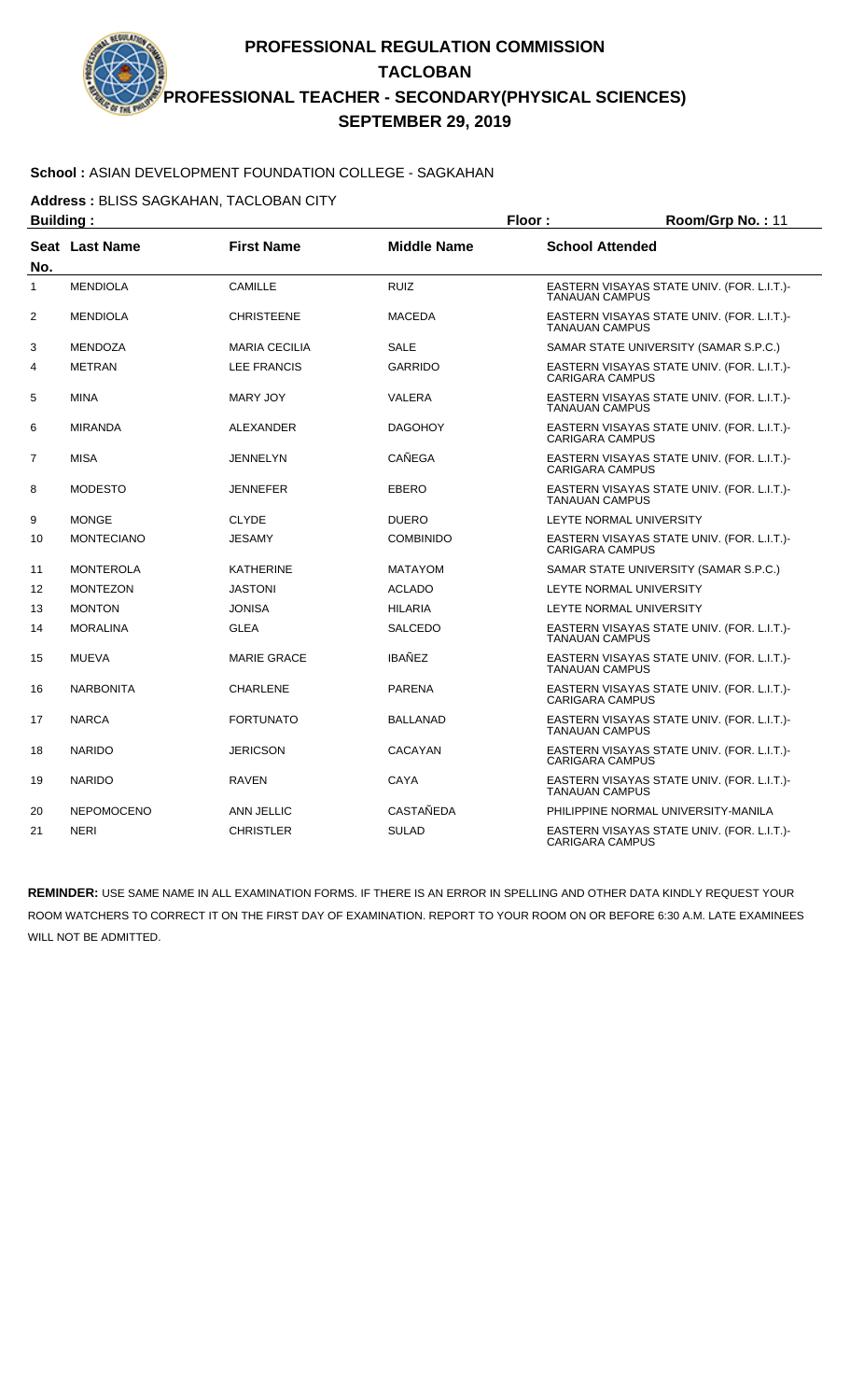# **School :** ASIAN DEVELOPMENT FOUNDATION COLLEGE - SAGKAHAN

**Address :** BLISS SAGKAHAN, TACLOBAN CITY

| <b>Building:</b> |                   |                      |                    | Floor:<br>Room/Grp No.: 11 |                                            |
|------------------|-------------------|----------------------|--------------------|----------------------------|--------------------------------------------|
| No.              | Seat Last Name    | <b>First Name</b>    | <b>Middle Name</b> | <b>School Attended</b>     |                                            |
| 1                | <b>MENDIOLA</b>   | CAMILLE              | <b>RUIZ</b>        | <b>TANAUAN CAMPUS</b>      | EASTERN VISAYAS STATE UNIV. (FOR. L.I.T.)- |
| 2                | <b>MENDIOLA</b>   | <b>CHRISTEENE</b>    | <b>MACEDA</b>      | <b>TANAUAN CAMPUS</b>      | EASTERN VISAYAS STATE UNIV. (FOR. L.I.T.)- |
| 3                | <b>MENDOZA</b>    | <b>MARIA CECILIA</b> | <b>SALE</b>        |                            | SAMAR STATE UNIVERSITY (SAMAR S.P.C.)      |
| 4                | <b>METRAN</b>     | <b>LEE FRANCIS</b>   | <b>GARRIDO</b>     | <b>CARIGARA CAMPUS</b>     | EASTERN VISAYAS STATE UNIV. (FOR. L.I.T.)- |
| 5                | <b>MINA</b>       | <b>MARY JOY</b>      | VALERA             | <b>TANAUAN CAMPUS</b>      | EASTERN VISAYAS STATE UNIV. (FOR. L.I.T.)- |
| 6                | <b>MIRANDA</b>    | ALEXANDER            | <b>DAGOHOY</b>     | <b>CARIGARA CAMPUS</b>     | EASTERN VISAYAS STATE UNIV. (FOR. L.I.T.)- |
| $\overline{7}$   | <b>MISA</b>       | <b>JENNELYN</b>      | CAÑEGA             | CARIGARA CAMPUS            | EASTERN VISAYAS STATE UNIV. (FOR. L.I.T.)- |
| 8                | <b>MODESTO</b>    | <b>JENNEFER</b>      | <b>EBERO</b>       | <b>TANAUAN CAMPUS</b>      | EASTERN VISAYAS STATE UNIV. (FOR. L.I.T.)- |
| 9                | <b>MONGE</b>      | <b>CLYDE</b>         | <b>DUERO</b>       |                            | <b>LEYTE NORMAL UNIVERSITY</b>             |
| 10               | <b>MONTECIANO</b> | <b>JESAMY</b>        | <b>COMBINIDO</b>   | <b>CARIGARA CAMPUS</b>     | EASTERN VISAYAS STATE UNIV. (FOR. L.I.T.)- |
| 11               | <b>MONTEROLA</b>  | <b>KATHERINE</b>     | <b>MATAYOM</b>     |                            | SAMAR STATE UNIVERSITY (SAMAR S.P.C.)      |
| 12               | <b>MONTEZON</b>   | <b>JASTONI</b>       | <b>ACLADO</b>      |                            | <b>LEYTE NORMAL UNIVERSITY</b>             |
| 13               | <b>MONTON</b>     | <b>JONISA</b>        | <b>HILARIA</b>     |                            | <b>LEYTE NORMAL UNIVERSITY</b>             |
| 14               | <b>MORALINA</b>   | <b>GLEA</b>          | <b>SALCEDO</b>     | <b>TANAUAN CAMPUS</b>      | EASTERN VISAYAS STATE UNIV. (FOR. L.I.T.)- |
| 15               | <b>MUEVA</b>      | <b>MARIE GRACE</b>   | <b>IBAÑEZ</b>      | <b>TANAUAN CAMPUS</b>      | EASTERN VISAYAS STATE UNIV. (FOR. L.I.T.)- |
| 16               | <b>NARBONITA</b>  | <b>CHARLENE</b>      | <b>PARENA</b>      | <b>CARIGARA CAMPUS</b>     | EASTERN VISAYAS STATE UNIV. (FOR. L.I.T.)- |
| 17               | <b>NARCA</b>      | <b>FORTUNATO</b>     | <b>BALLANAD</b>    | <b>TANAUAN CAMPUS</b>      | EASTERN VISAYAS STATE UNIV. (FOR. L.I.T.)- |
| 18               | <b>NARIDO</b>     | <b>JERICSON</b>      | <b>CACAYAN</b>     | <b>CARIGARA CAMPUS</b>     | EASTERN VISAYAS STATE UNIV. (FOR. L.I.T.)- |
| 19               | <b>NARIDO</b>     | <b>RAVEN</b>         | CAYA               | <b>TANAUAN CAMPUS</b>      | EASTERN VISAYAS STATE UNIV. (FOR. L.I.T.)- |
| 20               | <b>NEPOMOCENO</b> | ANN JELLIC           | <b>CASTAÑEDA</b>   |                            | PHILIPPINE NORMAL UNIVERSITY-MANILA        |
| 21               | <b>NERI</b>       | <b>CHRISTLER</b>     | <b>SULAD</b>       | <b>CARIGARA CAMPUS</b>     | EASTERN VISAYAS STATE UNIV. (FOR. L.I.T.)- |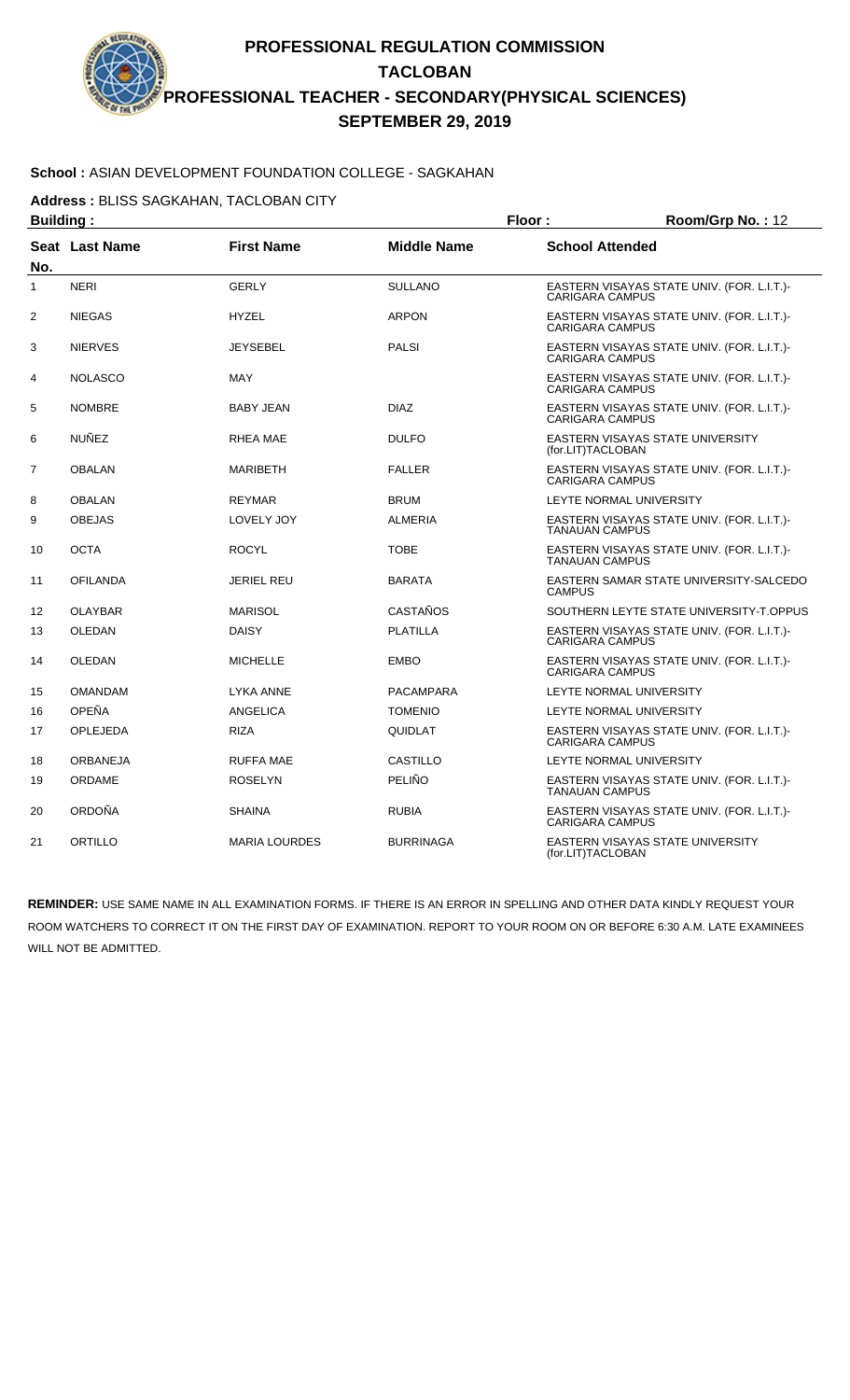# **School :** ASIAN DEVELOPMENT FOUNDATION COLLEGE - SAGKAHAN

**Address :** BLISS SAGKAHAN, TACLOBAN CITY

| <b>Building:</b> |                       |                      |                    | Floor:<br>Room/Grp No.: 12                                           |
|------------------|-----------------------|----------------------|--------------------|----------------------------------------------------------------------|
| No.              | <b>Seat Last Name</b> | <b>First Name</b>    | <b>Middle Name</b> | <b>School Attended</b>                                               |
| 1                | <b>NERI</b>           | <b>GERLY</b>         | <b>SULLANO</b>     | EASTERN VISAYAS STATE UNIV. (FOR. L.I.T.)-<br><b>CARIGARA CAMPUS</b> |
| $\overline{2}$   | <b>NIEGAS</b>         | <b>HYZEL</b>         | <b>ARPON</b>       | EASTERN VISAYAS STATE UNIV. (FOR. L.I.T.)-<br><b>CARIGARA CAMPUS</b> |
| 3                | <b>NIERVES</b>        | <b>JEYSEBEL</b>      | <b>PALSI</b>       | EASTERN VISAYAS STATE UNIV. (FOR. L.I.T.)-<br><b>CARIGARA CAMPUS</b> |
| 4                | <b>NOLASCO</b>        | <b>MAY</b>           |                    | EASTERN VISAYAS STATE UNIV. (FOR. L.I.T.)-<br><b>CARIGARA CAMPUS</b> |
| 5                | <b>NOMBRE</b>         | <b>BABY JEAN</b>     | <b>DIAZ</b>        | EASTERN VISAYAS STATE UNIV. (FOR. L.I.T.)-<br><b>CARIGARA CAMPUS</b> |
| 6                | NUÑEZ                 | <b>RHEA MAE</b>      | <b>DULFO</b>       | EASTERN VISAYAS STATE UNIVERSITY<br>(for.LIT)TACLOBAN                |
| 7                | <b>OBALAN</b>         | <b>MARIBETH</b>      | <b>FALLER</b>      | EASTERN VISAYAS STATE UNIV. (FOR. L.I.T.)-<br><b>CARIGARA CAMPUS</b> |
| 8                | <b>OBALAN</b>         | <b>REYMAR</b>        | <b>BRUM</b>        | LEYTE NORMAL UNIVERSITY                                              |
| 9                | <b>OBEJAS</b>         | LOVELY JOY           | <b>ALMERIA</b>     | EASTERN VISAYAS STATE UNIV. (FOR. L.I.T.)-<br><b>TANAUAN CAMPUS</b>  |
| 10               | <b>OCTA</b>           | <b>ROCYL</b>         | <b>TOBE</b>        | EASTERN VISAYAS STATE UNIV. (FOR. L.I.T.)-<br><b>TANAUAN CAMPUS</b>  |
| 11               | <b>OFILANDA</b>       | <b>JERIEL REU</b>    | <b>BARATA</b>      | EASTERN SAMAR STATE UNIVERSITY-SALCEDO<br><b>CAMPUS</b>              |
| 12               | <b>OLAYBAR</b>        | <b>MARISOL</b>       | CASTAÑOS           | SOUTHERN LEYTE STATE UNIVERSITY-T.OPPUS                              |
| 13               | OLEDAN                | <b>DAISY</b>         | <b>PLATILLA</b>    | EASTERN VISAYAS STATE UNIV. (FOR. L.I.T.)-<br><b>CARIGARA CAMPUS</b> |
| 14               | <b>OLEDAN</b>         | <b>MICHELLE</b>      | <b>EMBO</b>        | EASTERN VISAYAS STATE UNIV. (FOR. L.I.T.)-<br><b>CARIGARA CAMPUS</b> |
| 15               | <b>OMANDAM</b>        | <b>LYKA ANNE</b>     | PACAMPARA          | LEYTE NORMAL UNIVERSITY                                              |
| 16               | OPEÑA                 | ANGELICA             | <b>TOMENIO</b>     | <b>LEYTE NORMAL UNIVERSITY</b>                                       |
| 17               | <b>OPLEJEDA</b>       | <b>RIZA</b>          | QUIDLAT            | EASTERN VISAYAS STATE UNIV. (FOR. L.I.T.)-<br><b>CARIGARA CAMPUS</b> |
| 18               | <b>ORBANEJA</b>       | <b>RUFFA MAE</b>     | <b>CASTILLO</b>    | <b>LEYTE NORMAL UNIVERSITY</b>                                       |
| 19               | ORDAME                | <b>ROSELYN</b>       | PELIÑO             | EASTERN VISAYAS STATE UNIV. (FOR. L.I.T.)-<br><b>TANAUAN CAMPUS</b>  |
| 20               | ORDOÑA                | <b>SHAINA</b>        | <b>RUBIA</b>       | EASTERN VISAYAS STATE UNIV. (FOR. L.I.T.)-<br><b>CARIGARA CAMPUS</b> |
| 21               | ORTILLO               | <b>MARIA LOURDES</b> | <b>BURRINAGA</b>   | <b>EASTERN VISAYAS STATE UNIVERSITY</b><br>(for.LIT)TACLOBAN         |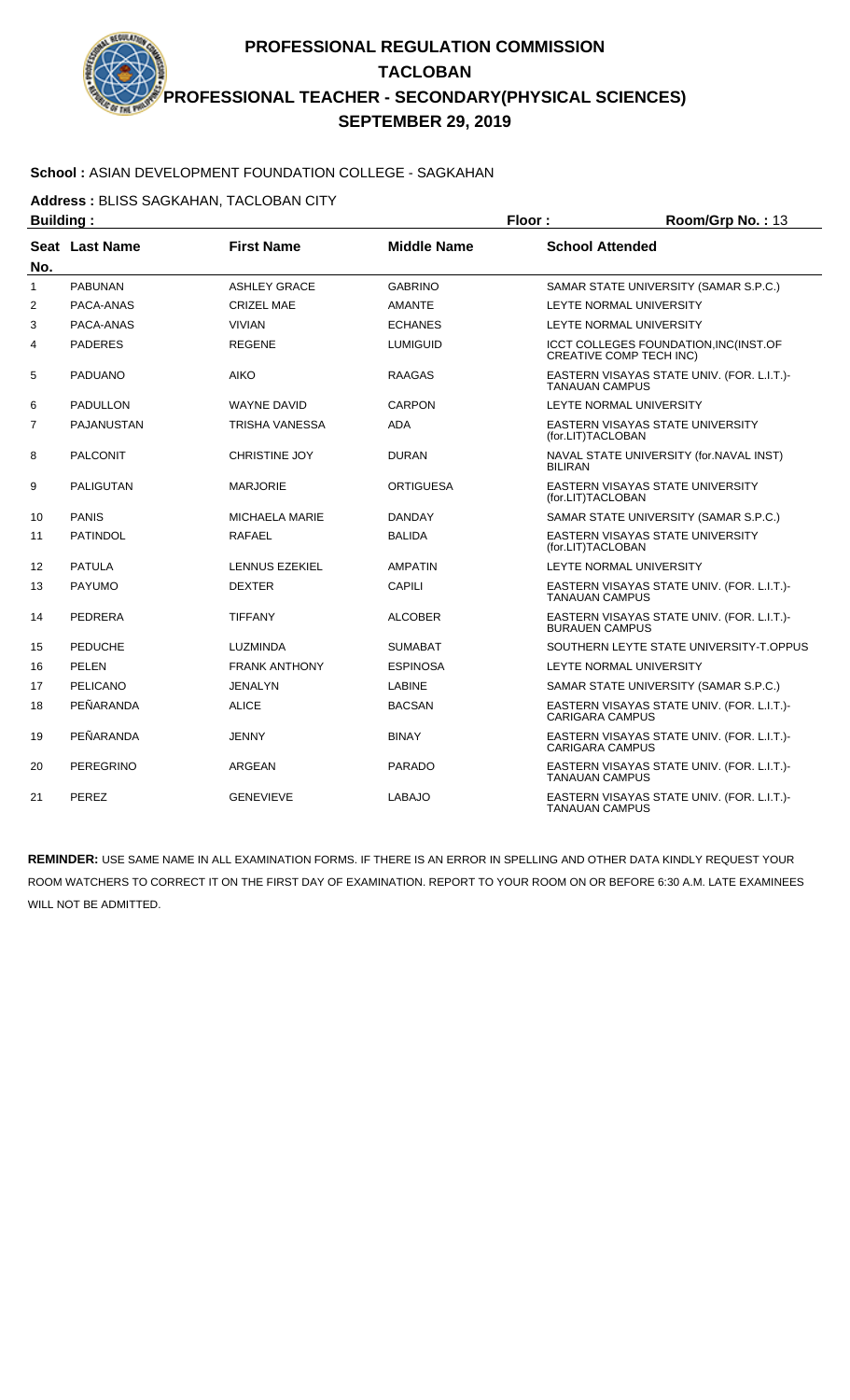# **School :** ASIAN DEVELOPMENT FOUNDATION COLLEGE - SAGKAHAN

**Address :** BLISS SAGKAHAN, TACLOBAN CITY

| <b>Building:</b> |                  |                       |                    | Floor:                                                              | Room/Grp No.: 13                           |
|------------------|------------------|-----------------------|--------------------|---------------------------------------------------------------------|--------------------------------------------|
| No.              | Seat Last Name   | <b>First Name</b>     | <b>Middle Name</b> | <b>School Attended</b>                                              |                                            |
| 1                | <b>PABUNAN</b>   | <b>ASHLEY GRACE</b>   | <b>GABRINO</b>     |                                                                     | SAMAR STATE UNIVERSITY (SAMAR S.P.C.)      |
| $\overline{2}$   | PACA-ANAS        | <b>CRIZEL MAE</b>     | <b>AMANTE</b>      | LEYTE NORMAL UNIVERSITY                                             |                                            |
| 3                | PACA-ANAS        | <b>VIVIAN</b>         | <b>ECHANES</b>     |                                                                     | LEYTE NORMAL UNIVERSITY                    |
| 4                | <b>PADERES</b>   | <b>REGENE</b>         | <b>LUMIGUID</b>    | <b>CREATIVE COMP TECH INC)</b>                                      | ICCT COLLEGES FOUNDATION, INC(INST.OF      |
| 5                | <b>PADUANO</b>   | <b>AIKO</b>           | <b>RAAGAS</b>      | EASTERN VISAYAS STATE UNIV. (FOR. L.I.T.)-<br><b>TANAUAN CAMPUS</b> |                                            |
| 6                | <b>PADULLON</b>  | <b>WAYNE DAVID</b>    | <b>CARPON</b>      | LEYTE NORMAL UNIVERSITY                                             |                                            |
| 7                | PAJANUSTAN       | TRISHA VANESSA        | <b>ADA</b>         | (for.LIT)TACLOBAN                                                   | <b>EASTERN VISAYAS STATE UNIVERSITY</b>    |
| 8                | <b>PALCONIT</b>  | <b>CHRISTINE JOY</b>  | <b>DURAN</b>       | <b>BILIRAN</b>                                                      | NAVAL STATE UNIVERSITY (for.NAVAL INST)    |
| 9                | <b>PALIGUTAN</b> | <b>MARJORIE</b>       | ORTIGUESA          | (for.LIT)TACLOBAN                                                   | <b>EASTERN VISAYAS STATE UNIVERSITY</b>    |
| 10               | <b>PANIS</b>     | <b>MICHAELA MARIE</b> | <b>DANDAY</b>      |                                                                     | SAMAR STATE UNIVERSITY (SAMAR S.P.C.)      |
| 11               | <b>PATINDOL</b>  | <b>RAFAEL</b>         | <b>BALIDA</b>      | (for.LIT)TACLOBAN                                                   | EASTERN VISAYAS STATE UNIVERSITY           |
| 12               | <b>PATULA</b>    | LENNUS EZEKIEL        | <b>AMPATIN</b>     | LEYTE NORMAL UNIVERSITY                                             |                                            |
| 13               | <b>PAYUMO</b>    | <b>DEXTER</b>         | CAPILI             | <b>TANAUAN CAMPUS</b>                                               | EASTERN VISAYAS STATE UNIV. (FOR. L.I.T.)- |
| 14               | PEDRERA          | <b>TIFFANY</b>        | <b>ALCOBER</b>     | <b>BURAUEN CAMPUS</b>                                               | EASTERN VISAYAS STATE UNIV. (FOR. L.I.T.)- |
| 15               | <b>PEDUCHE</b>   | <b>LUZMINDA</b>       | <b>SUMABAT</b>     |                                                                     | SOUTHERN LEYTE STATE UNIVERSITY-T.OPPUS    |
| 16               | PELEN            | <b>FRANK ANTHONY</b>  | <b>ESPINOSA</b>    | LEYTE NORMAL UNIVERSITY                                             |                                            |
| 17               | PELICANO         | JENALYN               | <b>LABINE</b>      |                                                                     | SAMAR STATE UNIVERSITY (SAMAR S.P.C.)      |
| 18               | PEÑARANDA        | <b>ALICE</b>          | <b>BACSAN</b>      | <b>CARIGARA CAMPUS</b>                                              | EASTERN VISAYAS STATE UNIV. (FOR. L.I.T.)- |
| 19               | PEÑARANDA        | <b>JENNY</b>          | <b>BINAY</b>       | <b>CARIGARA CAMPUS</b>                                              | EASTERN VISAYAS STATE UNIV. (FOR. L.I.T.)- |
| 20               | <b>PEREGRINO</b> | ARGEAN                | <b>PARADO</b>      | <b>TANAUAN CAMPUS</b>                                               | EASTERN VISAYAS STATE UNIV. (FOR. L.I.T.)- |
| 21               | <b>PEREZ</b>     | <b>GENEVIEVE</b>      | <b>LABAJO</b>      | <b>TANAUAN CAMPUS</b>                                               | EASTERN VISAYAS STATE UNIV. (FOR. L.I.T.)- |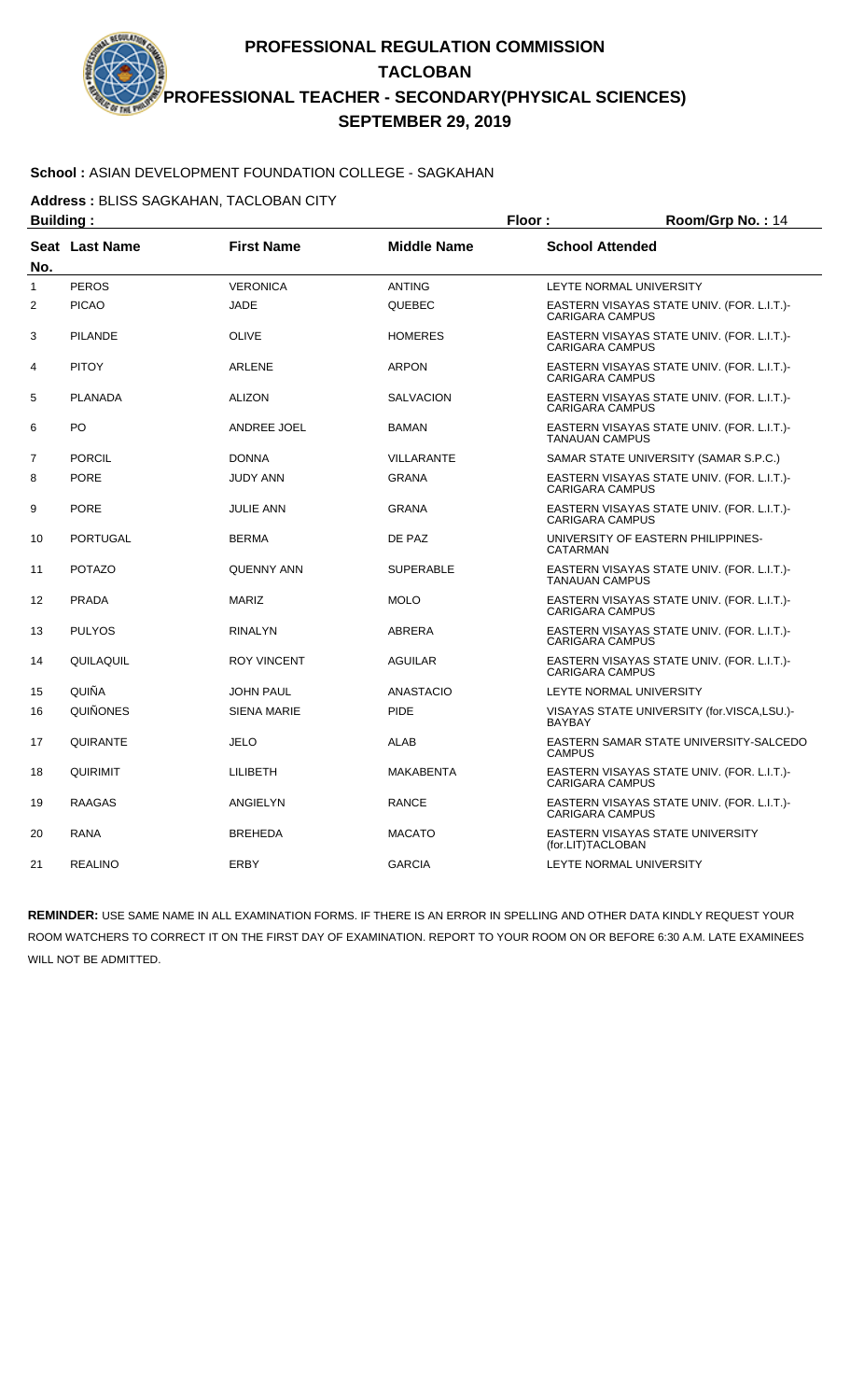# **School :** ASIAN DEVELOPMENT FOUNDATION COLLEGE - SAGKAHAN

**Address :** BLISS SAGKAHAN, TACLOBAN CITY

| <b>Building:</b> |                 |                    |                    | Floor:                  | Room/Grp No.: 14                           |
|------------------|-----------------|--------------------|--------------------|-------------------------|--------------------------------------------|
| No.              | Seat Last Name  | <b>First Name</b>  | <b>Middle Name</b> | <b>School Attended</b>  |                                            |
| 1                | <b>PEROS</b>    | <b>VERONICA</b>    | <b>ANTING</b>      | LEYTE NORMAL UNIVERSITY |                                            |
| 2                | <b>PICAO</b>    | <b>JADE</b>        | <b>QUEBEC</b>      | <b>CARIGARA CAMPUS</b>  | EASTERN VISAYAS STATE UNIV. (FOR. L.I.T.)- |
| 3                | <b>PILANDE</b>  | <b>OLIVE</b>       | <b>HOMERES</b>     | <b>CARIGARA CAMPUS</b>  | EASTERN VISAYAS STATE UNIV. (FOR. L.I.T.)- |
| 4                | <b>PITOY</b>    | ARLENE             | <b>ARPON</b>       | <b>CARIGARA CAMPUS</b>  | EASTERN VISAYAS STATE UNIV. (FOR. L.I.T.)- |
| 5                | <b>PLANADA</b>  | <b>ALIZON</b>      | <b>SALVACION</b>   | <b>CARIGARA CAMPUS</b>  | EASTERN VISAYAS STATE UNIV. (FOR. L.I.T.)- |
| 6                | PO              | ANDREE JOEL        | <b>BAMAN</b>       | <b>TANAUAN CAMPUS</b>   | EASTERN VISAYAS STATE UNIV. (FOR. L.I.T.)- |
| $\overline{7}$   | <b>PORCIL</b>   | <b>DONNA</b>       | <b>VILLARANTE</b>  |                         | SAMAR STATE UNIVERSITY (SAMAR S.P.C.)      |
| 8                | <b>PORE</b>     | <b>JUDY ANN</b>    | <b>GRANA</b>       | <b>CARIGARA CAMPUS</b>  | EASTERN VISAYAS STATE UNIV. (FOR. L.I.T.)- |
| 9                | <b>PORE</b>     | <b>JULIE ANN</b>   | <b>GRANA</b>       | <b>CARIGARA CAMPUS</b>  | EASTERN VISAYAS STATE UNIV. (FOR. L.I.T.)- |
| 10               | <b>PORTUGAL</b> | <b>BERMA</b>       | DE PAZ             | CATARMAN                | UNIVERSITY OF EASTERN PHILIPPINES-         |
| 11               | <b>POTAZO</b>   | <b>QUENNY ANN</b>  | <b>SUPERABLE</b>   | <b>TANAUAN CAMPUS</b>   | EASTERN VISAYAS STATE UNIV. (FOR. L.I.T.)- |
| 12               | <b>PRADA</b>    | <b>MARIZ</b>       | <b>MOLO</b>        | <b>CARIGARA CAMPUS</b>  | EASTERN VISAYAS STATE UNIV. (FOR. L.I.T.)- |
| 13               | <b>PULYOS</b>   | <b>RINALYN</b>     | <b>ABRERA</b>      | <b>CARIGARA CAMPUS</b>  | EASTERN VISAYAS STATE UNIV. (FOR. L.I.T.)- |
| 14               | QUILAQUIL       | <b>ROY VINCENT</b> | <b>AGUILAR</b>     | <b>CARIGARA CAMPUS</b>  | EASTERN VISAYAS STATE UNIV. (FOR. L.I.T.)- |
| 15               | QUIÑA           | <b>JOHN PAUL</b>   | <b>ANASTACIO</b>   | LEYTE NORMAL UNIVERSITY |                                            |
| 16               | <b>QUIÑONES</b> | <b>SIENA MARIE</b> | <b>PIDE</b>        | BAYBAY                  | VISAYAS STATE UNIVERSITY (for.VISCA,LSU.)- |
| 17               | QUIRANTE        | <b>JELO</b>        | ALAB               | <b>CAMPUS</b>           | EASTERN SAMAR STATE UNIVERSITY-SALCEDO     |
| 18               | QUIRIMIT        | LILIBETH           | <b>MAKABENTA</b>   | <b>CARIGARA CAMPUS</b>  | EASTERN VISAYAS STATE UNIV. (FOR. L.I.T.)- |
| 19               | <b>RAAGAS</b>   | ANGIELYN           | <b>RANCE</b>       | <b>CARIGARA CAMPUS</b>  | EASTERN VISAYAS STATE UNIV. (FOR. L.I.T.)- |
| 20               | <b>RANA</b>     | <b>BREHEDA</b>     | <b>MACATO</b>      | (for.LIT)TACLOBAN       | EASTERN VISAYAS STATE UNIVERSITY           |
| 21               | <b>REALINO</b>  | ERBY               | <b>GARCIA</b>      | LEYTE NORMAL UNIVERSITY |                                            |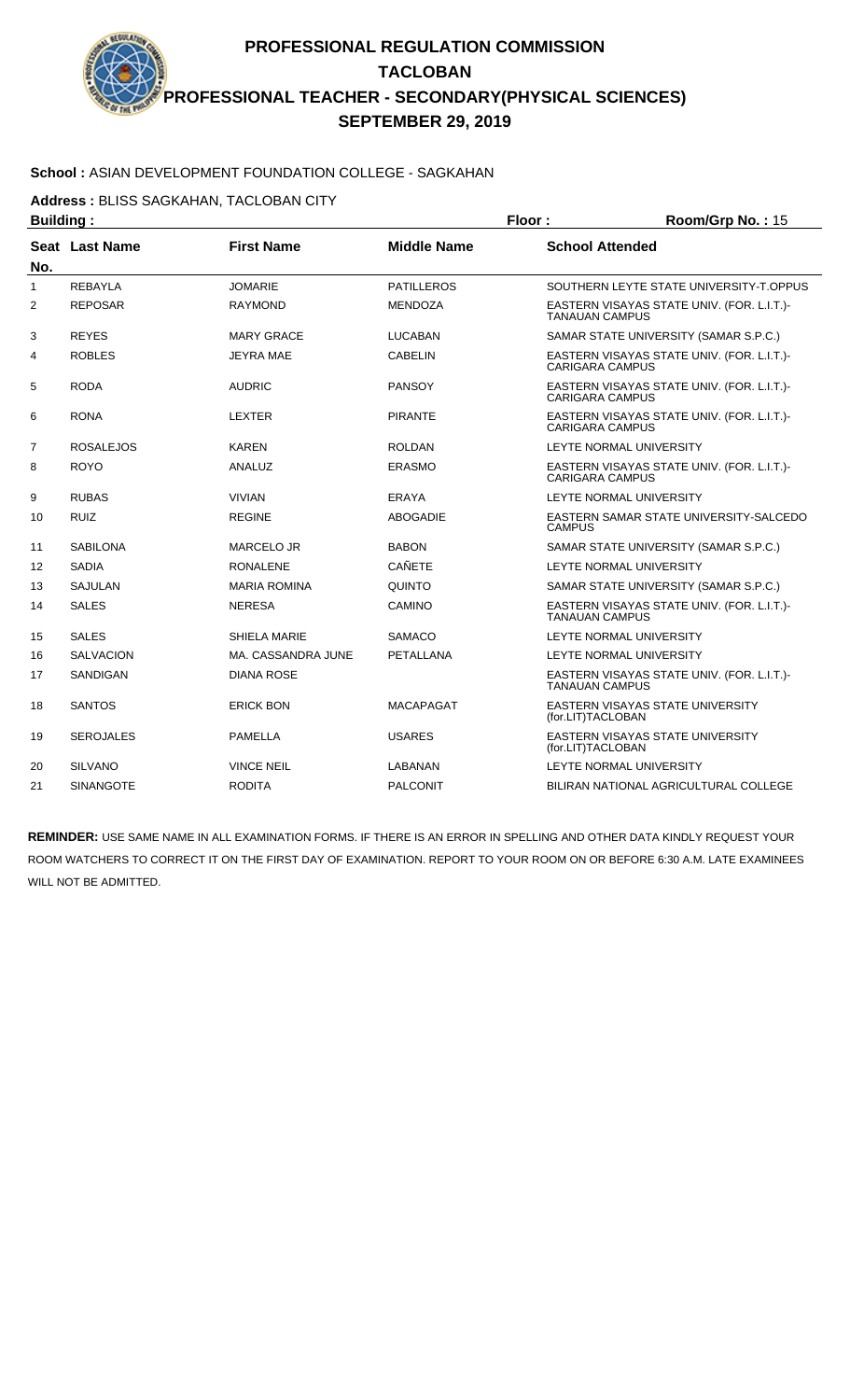#### **School :** ASIAN DEVELOPMENT FOUNDATION COLLEGE - SAGKAHAN

**Address :** BLISS SAGKAHAN, TACLOBAN CITY

| <b>Building:</b> |                  |                     |                    | Floor:                  | Room/Grp No.: 15                           |
|------------------|------------------|---------------------|--------------------|-------------------------|--------------------------------------------|
| No.              | Seat Last Name   | <b>First Name</b>   | <b>Middle Name</b> | <b>School Attended</b>  |                                            |
| 1                | <b>REBAYLA</b>   | <b>JOMARIE</b>      | <b>PATILLEROS</b>  |                         | SOUTHERN LEYTE STATE UNIVERSITY-T.OPPUS    |
| 2                | <b>REPOSAR</b>   | <b>RAYMOND</b>      | <b>MENDOZA</b>     | <b>TANAUAN CAMPUS</b>   | EASTERN VISAYAS STATE UNIV. (FOR. L.I.T.)- |
| 3                | <b>REYES</b>     | <b>MARY GRACE</b>   | <b>LUCABAN</b>     |                         | SAMAR STATE UNIVERSITY (SAMAR S.P.C.)      |
| 4                | <b>ROBLES</b>    | <b>JEYRA MAE</b>    | <b>CABELIN</b>     | <b>CARIGARA CAMPUS</b>  | EASTERN VISAYAS STATE UNIV. (FOR. L.I.T.)- |
| 5                | <b>RODA</b>      | <b>AUDRIC</b>       | <b>PANSOY</b>      | <b>CARIGARA CAMPUS</b>  | EASTERN VISAYAS STATE UNIV. (FOR. L.I.T.)- |
| 6                | <b>RONA</b>      | <b>LEXTER</b>       | <b>PIRANTE</b>     | <b>CARIGARA CAMPUS</b>  | EASTERN VISAYAS STATE UNIV. (FOR. L.I.T.)- |
| $\overline{7}$   | <b>ROSALEJOS</b> | <b>KAREN</b>        | <b>ROLDAN</b>      |                         | LEYTE NORMAL UNIVERSITY                    |
| 8                | <b>ROYO</b>      | ANALUZ              | <b>ERASMO</b>      | <b>CARIGARA CAMPUS</b>  | EASTERN VISAYAS STATE UNIV. (FOR. L.I.T.)- |
| 9                | <b>RUBAS</b>     | <b>VIVIAN</b>       | ERAYA              |                         | LEYTE NORMAL UNIVERSITY                    |
| 10               | <b>RUIZ</b>      | <b>REGINE</b>       | <b>ABOGADIE</b>    | <b>CAMPUS</b>           | EASTERN SAMAR STATE UNIVERSITY-SALCEDO     |
| 11               | <b>SABILONA</b>  | <b>MARCELO JR</b>   | <b>BABON</b>       |                         | SAMAR STATE UNIVERSITY (SAMAR S.P.C.)      |
| 12               | <b>SADIA</b>     | <b>RONALENE</b>     | <b>CAÑETE</b>      |                         | LEYTE NORMAL UNIVERSITY                    |
| 13               | <b>SAJULAN</b>   | <b>MARIA ROMINA</b> | QUINTO             |                         | SAMAR STATE UNIVERSITY (SAMAR S.P.C.)      |
| 14               | <b>SALES</b>     | <b>NERESA</b>       | CAMINO             | <b>TANAUAN CAMPUS</b>   | EASTERN VISAYAS STATE UNIV. (FOR. L.I.T.)- |
| 15               | <b>SALES</b>     | <b>SHIELA MARIE</b> | <b>SAMACO</b>      |                         | LEYTE NORMAL UNIVERSITY                    |
| 16               | <b>SALVACION</b> | MA. CASSANDRA JUNE  | <b>PETALLANA</b>   |                         | LEYTE NORMAL UNIVERSITY                    |
| 17               | <b>SANDIGAN</b>  | <b>DIANA ROSE</b>   |                    | <b>TANAUAN CAMPUS</b>   | EASTERN VISAYAS STATE UNIV. (FOR. L.I.T.)- |
| 18               | <b>SANTOS</b>    | <b>ERICK BON</b>    | <b>MACAPAGAT</b>   | (for.LIT)TACLOBAN       | EASTERN VISAYAS STATE UNIVERSITY           |
| 19               | <b>SEROJALES</b> | <b>PAMELLA</b>      | <b>USARES</b>      | (for.LIT)TACLOBAN       | EASTERN VISAYAS STATE UNIVERSITY           |
| 20               | <b>SILVANO</b>   | <b>VINCE NEIL</b>   | LABANAN            | LEYTE NORMAL UNIVERSITY |                                            |
| 21               | <b>SINANGOTE</b> | <b>RODITA</b>       | <b>PALCONIT</b>    |                         | BILIRAN NATIONAL AGRICULTURAL COLLEGE      |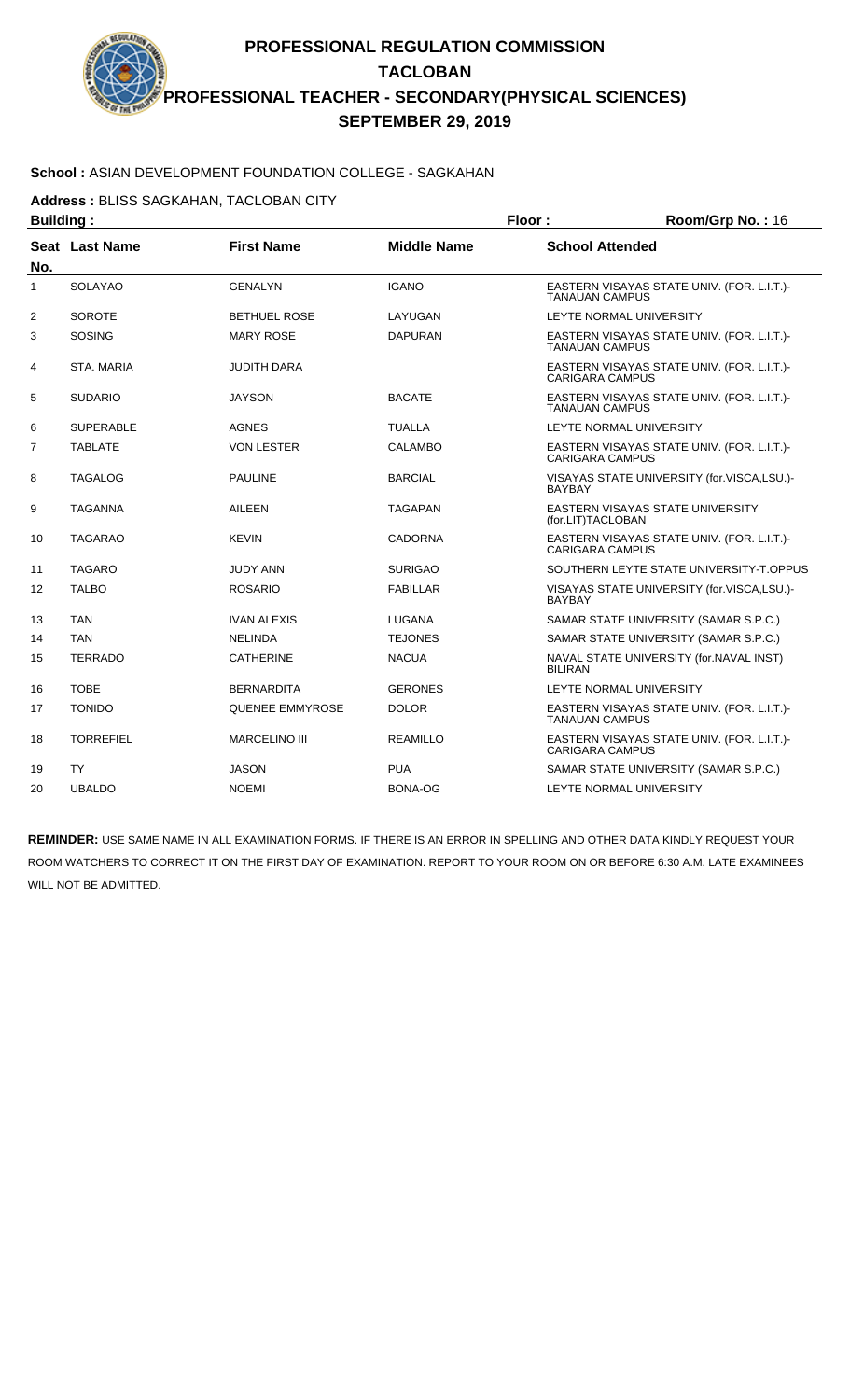#### **School :** ASIAN DEVELOPMENT FOUNDATION COLLEGE - SAGKAHAN

**Address :** BLISS SAGKAHAN, TACLOBAN CITY

| <b>Building:</b> |                  |                      |                    | Floor:                                                               | Room/Grp No.: 16                           |
|------------------|------------------|----------------------|--------------------|----------------------------------------------------------------------|--------------------------------------------|
| No.              | Seat Last Name   | <b>First Name</b>    | <b>Middle Name</b> | <b>School Attended</b>                                               |                                            |
| 1                | <b>SOLAYAO</b>   | <b>GENALYN</b>       | <b>IGANO</b>       | <b>TANAUAN CAMPUS</b>                                                | EASTERN VISAYAS STATE UNIV. (FOR. L.I.T.)- |
| 2                | <b>SOROTE</b>    | <b>BETHUEL ROSE</b>  | LAYUGAN            |                                                                      | LEYTE NORMAL UNIVERSITY                    |
| 3                | <b>SOSING</b>    | <b>MARY ROSE</b>     | <b>DAPURAN</b>     | <b>TANAUAN CAMPUS</b>                                                | EASTERN VISAYAS STATE UNIV. (FOR. L.I.T.)- |
| 4                | STA, MARIA       | <b>JUDITH DARA</b>   |                    | <b>CARIGARA CAMPUS</b>                                               | EASTERN VISAYAS STATE UNIV. (FOR. L.I.T.)- |
| 5                | <b>SUDARIO</b>   | <b>JAYSON</b>        | <b>BACATE</b>      | EASTERN VISAYAS STATE UNIV. (FOR. L.I.T.)-<br><b>TANAUAN CAMPUS</b>  |                                            |
| 6                | <b>SUPERABLE</b> | <b>AGNES</b>         | <b>TUALLA</b>      | LEYTE NORMAL UNIVERSITY                                              |                                            |
| $\overline{7}$   | <b>TABLATE</b>   | <b>VON LESTER</b>    | <b>CALAMBO</b>     | EASTERN VISAYAS STATE UNIV. (FOR. L.I.T.)-<br><b>CARIGARA CAMPUS</b> |                                            |
| 8                | TAGALOG          | <b>PAULINE</b>       | <b>BARCIAL</b>     | <b>BAYBAY</b>                                                        | VISAYAS STATE UNIVERSITY (for.VISCA,LSU.)- |
| 9                | TAGANNA          | AILEEN               | <b>TAGAPAN</b>     | (for.LIT)TACLOBAN                                                    | EASTERN VISAYAS STATE UNIVERSITY           |
| 10               | <b>TAGARAO</b>   | <b>KEVIN</b>         | <b>CADORNA</b>     | <b>CARIGARA CAMPUS</b>                                               | EASTERN VISAYAS STATE UNIV. (FOR. L.I.T.)- |
| 11               | <b>TAGARO</b>    | <b>JUDY ANN</b>      | <b>SURIGAO</b>     |                                                                      | SOUTHERN LEYTE STATE UNIVERSITY-T.OPPUS    |
| 12               | <b>TALBO</b>     | <b>ROSARIO</b>       | <b>FABILLAR</b>    | <b>BAYBAY</b>                                                        | VISAYAS STATE UNIVERSITY (for.VISCA,LSU.)- |
| 13               | <b>TAN</b>       | <b>IVAN ALEXIS</b>   | LUGANA             | SAMAR STATE UNIVERSITY (SAMAR S.P.C.)                                |                                            |
| 14               | <b>TAN</b>       | <b>NELINDA</b>       | <b>TEJONES</b>     |                                                                      | SAMAR STATE UNIVERSITY (SAMAR S.P.C.)      |
| 15               | <b>TERRADO</b>   | <b>CATHERINE</b>     | <b>NACUA</b>       | <b>BILIRAN</b>                                                       | NAVAL STATE UNIVERSITY (for.NAVAL INST)    |
| 16               | <b>TOBE</b>      | <b>BERNARDITA</b>    | <b>GERONES</b>     |                                                                      | LEYTE NORMAL UNIVERSITY                    |
| 17               | <b>TONIDO</b>    | QUENEE EMMYROSE      | <b>DOLOR</b>       | <b>TANAUAN CAMPUS</b>                                                | EASTERN VISAYAS STATE UNIV. (FOR. L.I.T.)- |
| 18               | <b>TORREFIEL</b> | <b>MARCELINO III</b> | <b>REAMILLO</b>    | CARIGARA CAMPUS                                                      | EASTERN VISAYAS STATE UNIV. (FOR. L.I.T.)- |
| 19               | <b>TY</b>        | <b>JASON</b>         | <b>PUA</b>         | SAMAR STATE UNIVERSITY (SAMAR S.P.C.)                                |                                            |
| 20               | <b>UBALDO</b>    | <b>NOEMI</b>         | BONA-OG            |                                                                      | LEYTE NORMAL UNIVERSITY                    |